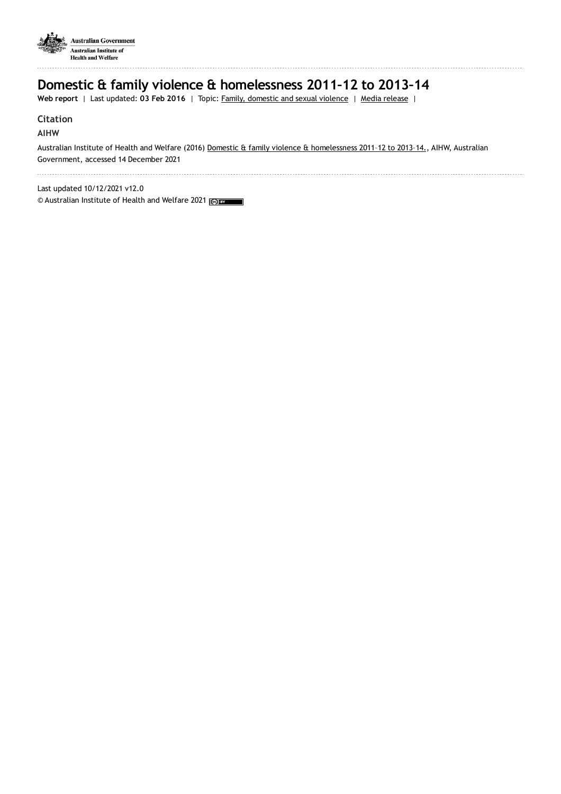

## **Domestic & family violence & homelessness 2011–12 to 2013–14**

Web report | Last updated: 03 Feb 2016 | Topic: Family, [domestic](https://www.aihw.gov.au/reports-data/behaviours-risk-factors/domestic-violence) and sexual violence | Media [release](https://www.aihw.gov.au/news-media/media-releases/2016/2016-feb/over-one-third-of-specialist-homelessness-clients) |

## **Citation**

## **AIHW**

Australian Institute of Health and Welfare (2016) Domestic & family violence & [homelessness](https://www.aihw.gov.au/reports/domestic-violence/domestic-family-violence-homelessness-2011-12-to-2013-14) 2011–12 to 2013–14., AIHW, Australian Government, accessed 14 December 2021

Last updated 10/12/2021 v12.0 © Australian Institute of Health and Welfare 2021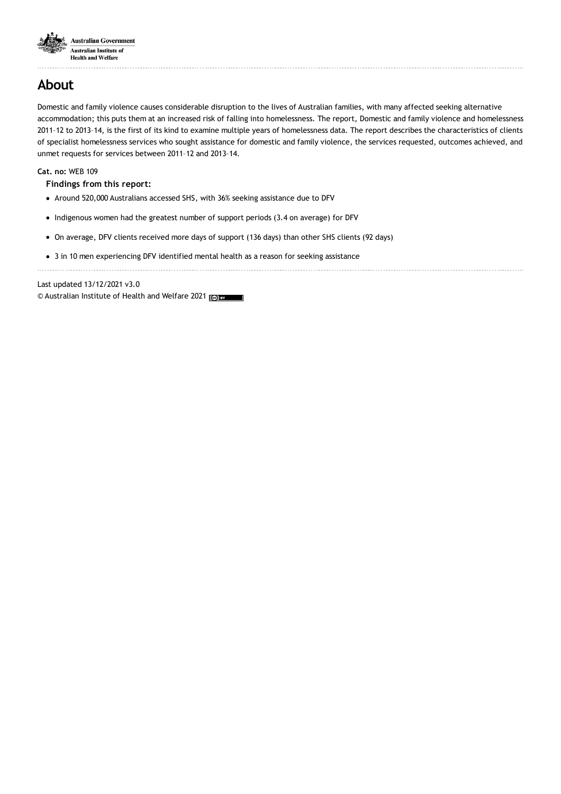

## **About**

Domestic and family violence causes considerable disruption to the lives of Australian families, with many affected seeking alternative accommodation; this puts them at an increased risk of falling into homelessness. The report, Domestic and family violence and homelessness 2011–12 to 2013–14, is the first of its kind to examine multiple years of homelessness data. The report describes the characteristics of clients of specialist homelessness services who sought assistance for domestic and family violence, the services requested, outcomes achieved, and unmet requests for services between 2011–12 and 2013–14.

**Cat. no:** WEB 109

**Findings from this report:**

- Around 520,000 Australians accessed SHS, with 36% seeking assistance due to DFV
- Indigenous women had the greatest number of support periods (3.4 on average) for DFV
- On average, DFV clients received more days of support (136 days) than other SHS clients (92 days)
- 3 in 10 men experiencing DFV identified mental health as a reason for seeking assistance

Last updated 13/12/2021 v3.0

© Australian Institute of Health and Welfare 2021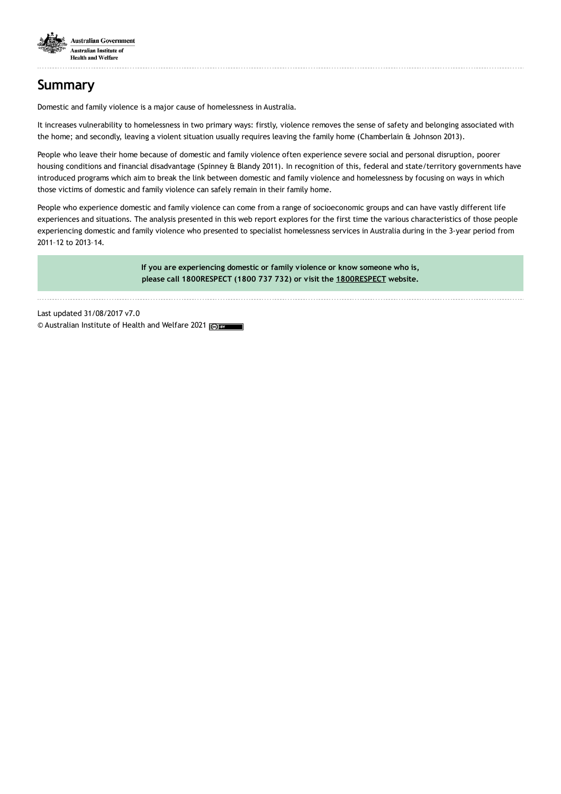

# **Summary**

Domestic and family violence is a major cause of homelessness in Australia.

It increases vulnerability to homelessness in two primary ways: firstly, violence removes the sense of safety and belonging associated with the home; and secondly, leaving a violent situation usually requires leaving the family home (Chamberlain & Johnson 2013).

People who leave their home because of domestic and family violence often experience severe social and personal disruption, poorer housing conditions and financial disadvantage (Spinney & Blandy 2011). In recognition of this, federal and state/territory governments have introduced programs which aim to break the link between domestic and family violence and homelessness by focusing on ways in which those victims of domestic and family violence can safely remain in their family home.

People who experience domestic and family violence can come from a range of socioeconomic groups and can have vastly different life experiences and situations. The analysis presented in this web report explores for the first time the various characteristics of those people experiencing domestic and family violence who presented to specialist homelessness services in Australia during in the 3-year period from 2011–12 to 2013–14.

> **If you are experiencing domestic or family violence or know someone who is, please call 1800RESPECT (1800 737 732) or visit the [1800RESPECT](https://www.1800respect.org.au/) website.**

Last updated 31/08/2017 v7.0 © Australian Institute of Health and Welfare 2021 (cc) BY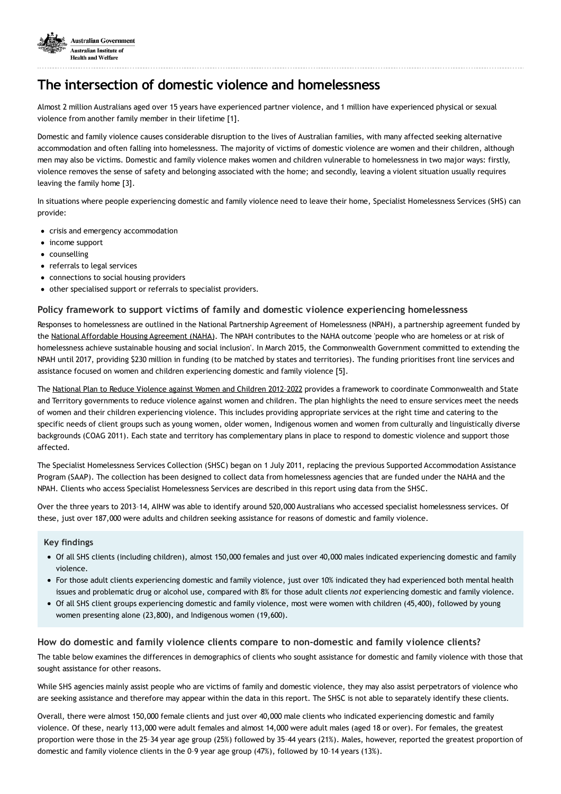

## **The intersection of domestic violence and homelessness**

Almost 2 million Australians aged over 15 years have experienced partner violence, and 1 million have experienced physical or sexual violence from another family member in their lifetime [1].

Domestic and family violence causes considerable disruption to the lives of Australian families, with many affected seeking alternative accommodation and often falling into homelessness. The majority of victims of domestic violence are women and their children, although men may also be victims. Domestic and family violence makes women and children vulnerable to homelessness in two major ways: firstly, violence removes the sense of safety and belonging associated with the home; and secondly, leaving a violent situation usually requires leaving the family home [3].

In situations where people experiencing domestic and family violence need to leave their home, Specialist Homelessness Services (SHS) can provide:

- crisis and emergency accommodation
- income support
- counselling
- referrals to legal services
- connections to social housing providers
- other specialised support or referrals to specialist providers.

## **Policy framework to support victims of family and domestic violence experiencing homelessness**

Responses to homelessness are outlined in the National Partnership Agreement of Homelessness (NPAH), a partnership agreement funded by the National Affordable Housing [Agreement](https://www.dss.gov.au/housing-support/programmes-services/national-partnership-agreement-on-homelessness) (NAHA). The NPAH contributes to the NAHA outcome 'people who are homeless or at risk of homelessness achieve sustainable housing and social inclusion'. In March 2015, the Commonwealth Government committed to extending the NPAH until 2017, providing \$230 million in funding (to be matched by states and territories). The funding prioritises front line services and assistance focused on women and children experiencing domestic and family violence [5].

The National Plan to Reduce Violence against Women and Children 2012-2022 provides a framework to coordinate Commonwealth and State and Territory governments to reduce violence against women and children. The plan highlights the need to ensure services meet the needs of women and their children experiencing violence. This includes providing appropriate services at the right time and catering to the specific needs of client groups such as young women, older women, Indigenous women and women from culturally and linguistically diverse backgrounds (COAG 2011). Each state and territory has complementary plans in place to respond to domestic violence and support those affected.

The Specialist Homelessness Services Collection (SHSC) began on 1 July 2011, replacing the previous Supported Accommodation Assistance Program (SAAP). The collection has been designed to collect data from homelessness agencies that are funded under the NAHA and the NPAH. Clients who access Specialist Homelessness Services are described in this report using data from the SHSC.

Over the three years to 2013–14, AIHW was able to identify around 520,000 Australians who accessed specialist homelessness services. Of these, just over 187,000 were adults and children seeking assistance for reasons of domestic and family violence.

#### **Key findings**

- Of all SHS clients (including children), almost 150,000 females and just over 40,000 males indicated experiencing domestic and family violence.
- For those adult clients experiencing domestic and family violence, just over 10% indicated they had experienced both mental health issues and problematic drug or alcohol use, compared with 8% for those adult clients *not* experiencing domestic and family violence.
- Of all SHS client groups experiencing domestic and family violence, most were women with children (45,400), followed by young women presenting alone (23,800), and Indigenous women (19,600).

## **How do domestic and family violence clients compare to non-domestic and family violence clients?**

The table below examines the differences in demographics of clients who sought assistance for domestic and family violence with those that sought assistance for other reasons.

While SHS agencies mainly assist people who are victims of family and domestic violence, they may also assist perpetrators of violence who are seeking assistance and therefore may appear within the data in this report. The SHSC is not able to separately identify these clients.

Overall, there were almost 150,000 female clients and just over 40,000 male clients who indicated experiencing domestic and family violence. Of these, nearly 113,000 were adult females and almost 14,000 were adult males (aged 18 or over). For females, the greatest proportion were those in the 25–34 year age group (25%) followed by 35–44 years (21%). Males, however, reported the greatest proportion of domestic and family violence clients in the 0–9 year age group (47%), followed by 10–14 years (13%).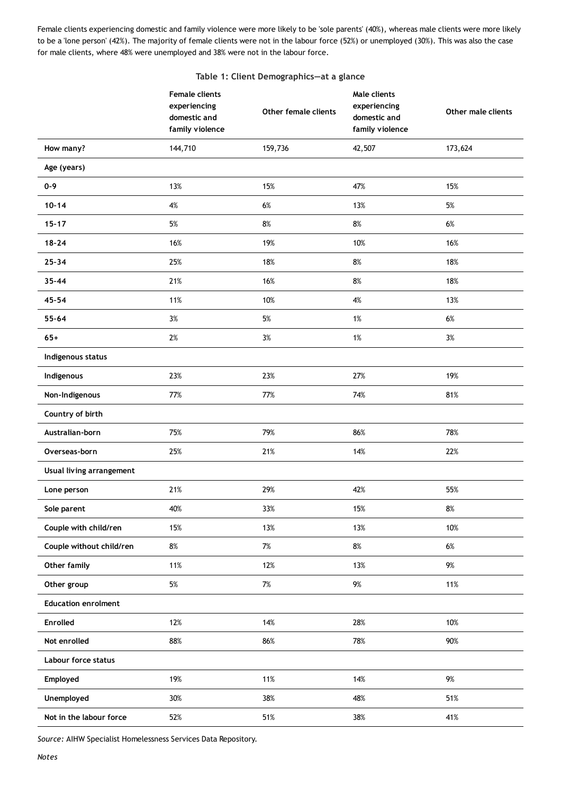Female clients experiencing domestic and family violence were more likely to be 'sole parents' (40%), whereas male clients were more likely to be a 'lone person' (42%). The majority of female clients were not in the labour force (52%) or unemployed (30%). This was also the case for male clients, where 48% were unemployed and 38% were not in the labour force.

### **Table 1: Client Demographics—at a glance**

|                            | <b>Female clients</b><br>experiencing<br>domestic and<br>family violence | Other female clients | Male clients<br>experiencing<br>domestic and<br>family violence | Other male clients |
|----------------------------|--------------------------------------------------------------------------|----------------------|-----------------------------------------------------------------|--------------------|
| How many?                  | 144,710                                                                  | 159,736              | 42,507                                                          | 173,624            |
| Age (years)                |                                                                          |                      |                                                                 |                    |
| $0 - 9$                    | 13%                                                                      | 15%                  | 47%                                                             | 15%                |
| $10 - 14$                  | 4%                                                                       | $6\%$                | 13%                                                             | $5\%$              |
| $15 - 17$                  | 5%                                                                       | 8%                   | 8%                                                              | 6%                 |
| $18 - 24$                  | 16%                                                                      | 19%                  | 10%                                                             | 16%                |
| $25 - 34$                  | 25%                                                                      | 18%                  | $8\%$                                                           | 18%                |
| $35 - 44$                  | 21%                                                                      | 16%                  | 8%                                                              | 18%                |
| $45 - 54$                  | 11%                                                                      | 10%                  | 4%                                                              | 13%                |
| $55 - 64$                  | 3%                                                                       | $5%$                 | 1%                                                              | $6\%$              |
| $65+$                      | $2\%$                                                                    | $3\%$                | 1%                                                              | $3\%$              |
| Indigenous status          |                                                                          |                      |                                                                 |                    |
| Indigenous                 | 23%                                                                      | 23%                  | 27%                                                             | 19%                |
| Non-Indigenous             | 77%                                                                      | 77%                  | 74%                                                             | 81%                |
| Country of birth           |                                                                          |                      |                                                                 |                    |
| Australian-born            | 75%                                                                      | 79%                  | 86%                                                             | 78%                |
| Overseas-born              | 25%                                                                      | 21%                  | 14%                                                             | 22%                |
| Usual living arrangement   |                                                                          |                      |                                                                 |                    |
| Lone person                | 21%                                                                      | 29%                  | 42%                                                             | 55%                |
| Sole parent                | 40%                                                                      | 33%                  | 15%                                                             | $8\%$              |
| Couple with child/ren      | 15%                                                                      | 13%                  | 13%                                                             | 10%                |
| Couple without child/ren   | $8\%$                                                                    | $7\%$                | $8\%$                                                           | $6\%$              |
| Other family               | 11%                                                                      | 12%                  | 13%                                                             | $9\%$              |
| Other group                | $5\%$                                                                    | $7\%$                | $9\%$                                                           | 11%                |
| <b>Education enrolment</b> |                                                                          |                      |                                                                 |                    |
| Enrolled                   | 12%                                                                      | 14%                  | 28%                                                             | 10%                |
| Not enrolled               | 88%                                                                      | 86%                  | 78%                                                             | 90%                |
| Labour force status        |                                                                          |                      |                                                                 |                    |
| Employed                   | 19%                                                                      | 11%                  | 14%                                                             | $9\%$              |
| Unemployed                 | 30%                                                                      | 38%                  | 48%                                                             | 51%                |
| Not in the labour force    | 52%                                                                      | 51%                  | 38%                                                             | 41%                |

*Source:* AIHW Specialist Homelessness Services Data Repository.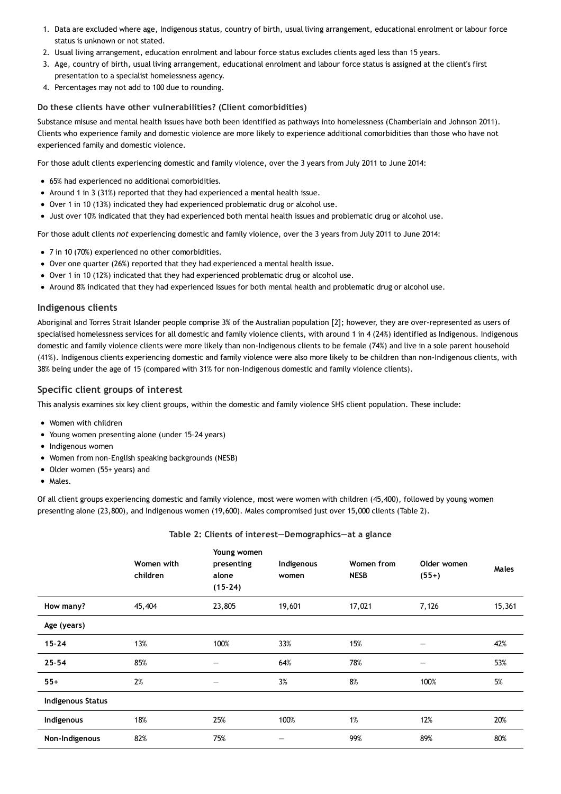- 1. Data are excluded where age, Indigenous status, country of birth, usual living arrangement, educational enrolment or labour force status is unknown or not stated.
- 2. Usual living arrangement, education enrolment and labour force status excludes clients aged less than 15 years.
- 3. Age, country of birth, usual living arrangement, educational enrolment and labour force status is assigned at the client's first presentation to a specialist homelessness agency.
- 4. Percentages may not add to 100 due to rounding.

### **Do these clients have other vulnerabilities? (Client comorbidities)**

Substance misuse and mental health issues have both been identified as pathways into homelessness (Chamberlain and Johnson 2011). Clients who experience family and domestic violence are more likely to experience additional comorbidities than those who have not experienced family and domestic violence.

For those adult clients experiencing domestic and family violence, over the 3 years from July 2011 to June 2014:

- 65% had experienced no additional comorbidities.
- Around 1 in 3 (31%) reported that they had experienced a mental health issue.
- Over 1 in 10 (13%) indicated they had experienced problematic drug or alcohol use.
- Just over 10% indicated that they had experienced both mental health issues and problematic drug or alcohol use.

For those adult clients *not* experiencing domestic and family violence, over the 3 years from July 2011 to June 2014:

- 7 in 10 (70%) experienced no other comorbidities.
- Over one quarter (26%) reported that they had experienced a mental health issue.
- Over 1 in 10 (12%) indicated that they had experienced problematic drug or alcohol use.
- Around 8% indicated that they had experienced issues for both mental health and problematic drug or alcohol use.

## **Indigenous clients**

Aboriginal and Torres Strait Islander people comprise 3% of the Australian population [2]; however, they are over-represented as users of specialised homelessness services for all domestic and family violence clients, with around 1 in 4 (24%) identified as Indigenous. Indigenous domestic and family violence clients were more likely than non-Indigenous clients to be female (74%) and live in a sole parent household (41%). Indigenous clients experiencing domestic and family violence were also more likely to be children than non-Indigenous clients, with 38% being under the age of 15 (compared with 31% for non-Indigenous domestic and family violence clients).

## **Specific client groups of interest**

This analysis examines six key client groups, within the domestic and family violence SHS client population. These include:

- Women with children
- Young women presenting alone (under 15–24 years)
- Indigenous women
- Women from non-English speaking backgrounds (NESB)
- Older women (55+ years) and
- Males.

Of all client groups experiencing domestic and family violence, most were women with children (45,400), followed by young women presenting alone (23,800), and Indigenous women (19,600). Males compromised just over 15,000 clients (Table 2).

## **Table 2: Clients of interest—Demographics—at a glance**

|                          | Women with<br>children | Young women<br>presenting<br>alone<br>$(15-24)$ | Indigenous<br>women | Women from<br><b>NESB</b> | Older women<br>$(55+)$ | Males  |
|--------------------------|------------------------|-------------------------------------------------|---------------------|---------------------------|------------------------|--------|
| How many?                | 45,404                 | 23,805                                          | 19,601              | 17,021                    | 7,126                  | 15,361 |
| Age (years)              |                        |                                                 |                     |                           |                        |        |
| $15 - 24$                | 13%                    | 100%                                            | 33%                 | 15%                       | —                      | 42%    |
| $25 - 54$                | 85%                    |                                                 | 64%                 | 78%                       |                        | 53%    |
| $55+$                    | 2%                     | $\qquad \qquad -$                               | 3%                  | 8%                        | 100%                   | 5%     |
| <b>Indigenous Status</b> |                        |                                                 |                     |                           |                        |        |
| Indigenous               | 18%                    | 25%                                             | 100%                | 1%                        | 12%                    | 20%    |
| Non-Indigenous           | 82%                    | 75%                                             | –                   | 99%                       | 89%                    | 80%    |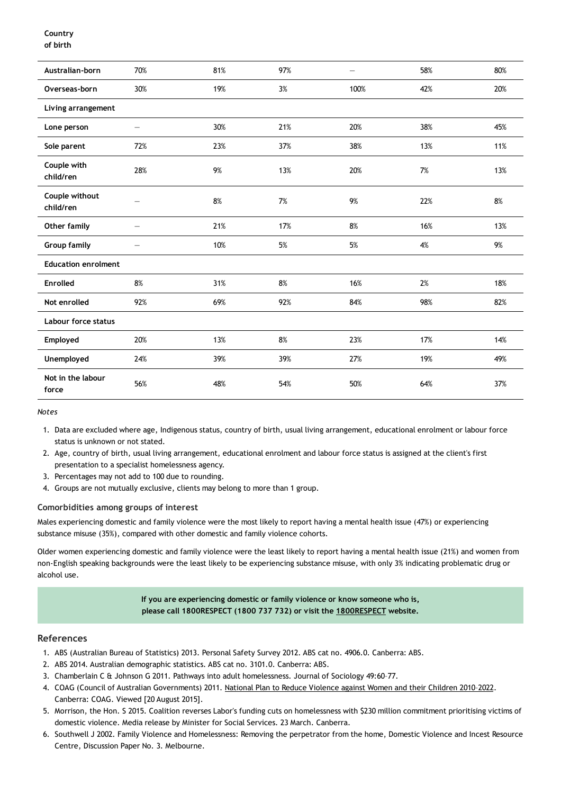### **Country of birth**

| Australian-born             | 70%                      | 81% | 97% | $\overline{\phantom{0}}$ | 58% | 80%   |
|-----------------------------|--------------------------|-----|-----|--------------------------|-----|-------|
| Overseas-born               | 30%                      | 19% | 3%  | 100%                     | 42% | 20%   |
| Living arrangement          |                          |     |     |                          |     |       |
| Lone person                 | —                        | 30% | 21% | 20%                      | 38% | 45%   |
| Sole parent                 | 72%                      | 23% | 37% | 38%                      | 13% | 11%   |
| Couple with<br>child/ren    | 28%                      | 9%  | 13% | 20%                      | 7%  | 13%   |
| Couple without<br>child/ren |                          | 8%  | 7%  | 9%                       | 22% | 8%    |
| Other family                | $\overline{\phantom{0}}$ | 21% | 17% | 8%                       | 16% | 13%   |
| <b>Group family</b>         |                          | 10% | 5%  | 5%                       | 4%  | $9\%$ |
| <b>Education enrolment</b>  |                          |     |     |                          |     |       |
| <b>Enrolled</b>             | 8%                       | 31% | 8%  | 16%                      | 2%  | 18%   |
| Not enrolled                | 92%                      | 69% | 92% | 84%                      | 98% | 82%   |
| Labour force status         |                          |     |     |                          |     |       |
| Employed                    | 20%                      | 13% | 8%  | 23%                      | 17% | 14%   |
| Unemployed                  | 24%                      | 39% | 39% | 27%                      | 19% | 49%   |
| Not in the labour<br>force  | 56%                      | 48% | 54% | 50%                      | 64% | 37%   |

*Notes*

- 1. Data are excluded where age, Indigenous status, country of birth, usual living arrangement, educational enrolment or labour force status is unknown or not stated.
- 2. Age, country of birth, usual living arrangement, educational enrolment and labour force status is assigned at the client's first presentation to a specialist homelessness agency.
- 3. Percentages may not add to 100 due to rounding.
- 4. Groups are not mutually exclusive, clients may belong to more than 1 group.

## **Comorbidities among groups of interest**

Males experiencing domestic and family violence were the most likely to report having a mental health issue (47%) or experiencing substance misuse (35%), compared with other domestic and family violence cohorts.

Older women experiencing domestic and family violence were the least likely to report having a mental health issue (21%) and women from non-English speaking backgrounds were the least likely to be experiencing substance misuse, with only 3% indicating problematic drug or alcohol use.

> **If you are experiencing domestic or family violence or know someone who is, please call 1800RESPECT (1800 737 732) or visit the [1800RESPECT](https://www.1800respect.org.au/) website.**

#### **References**

- 1. ABS (Australian Bureau of Statistics) 2013. Personal Safety Survey 2012. ABS cat no. 4906.0. Canberra: ABS.
- 2. ABS 2014. Australian demographic statistics. ABS cat no. 3101.0. Canberra: ABS.
- 3. Chamberlain C & Johnson G 2011. Pathways into adult homelessness. Journal of Sociology 49:60–77.
- 4. COAG (Council of Australian Governments) 2011. National Plan to Reduce Violence against Women and their Children [2010–2022.](https://www.dss.gov.au/our-responsibilities/women/programs-services/reducing-violence/the-national-plan-to-reduce-violence-against-women-and-their-children-2010-2022) Canberra: COAG. Viewed [20 August 2015].
- 5. Morrison, the Hon. S 2015. Coalition reverses Labor's funding cuts on homelessness with \$230 million commitment prioritising victims of domestic violence. Media release by Minister for Social Services. 23 March. Canberra.
- 6. Southwell J 2002. Family Violence and Homelessness: Removing the perpetrator from the home, Domestic Violence and Incest Resource Centre, Discussion Paper No. 3. Melbourne.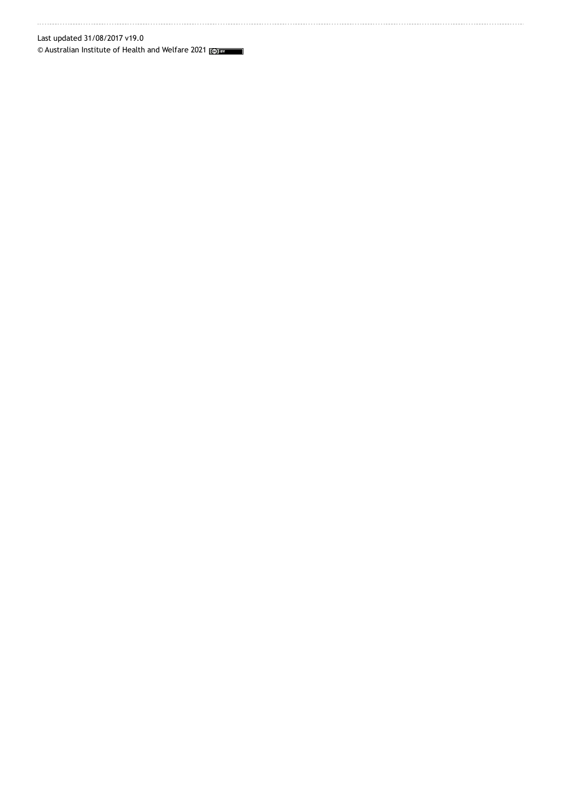Last updated 31/08/2017 v19.0

© Australian Institute of Health and Welfare 2021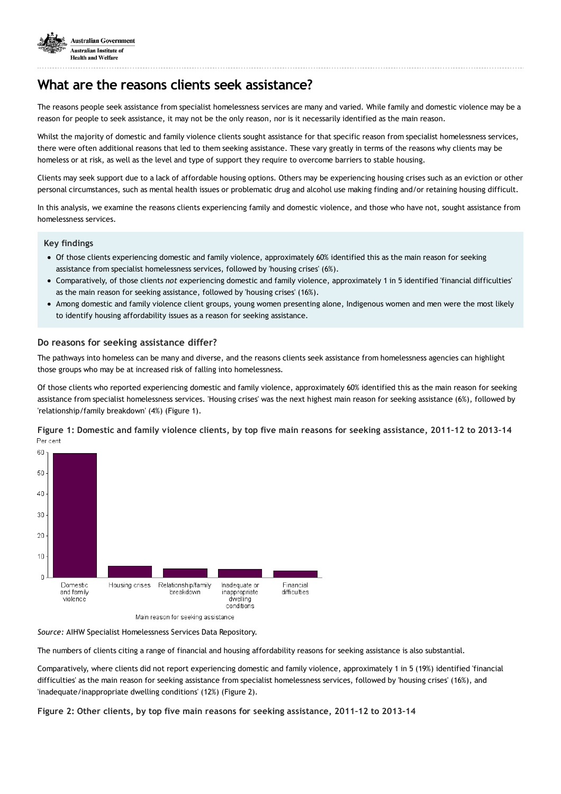

## **What are the reasons clients seek assistance?**

The reasons people seek assistance from specialist homelessness services are many and varied. While family and domestic violence may be a reason for people to seek assistance, it may not be the only reason, nor is it necessarily identified as the main reason.

Whilst the majority of domestic and family violence clients sought assistance for that specific reason from specialist homelessness services, there were often additional reasons that led to them seeking assistance. These vary greatly in terms of the reasons why clients may be homeless or at risk, as well as the level and type of support they require to overcome barriers to stable housing.

Clients may seek support due to a lack of affordable housing options. Others may be experiencing housing crises such as an eviction or other personal circumstances, such as mental health issues or problematic drug and alcohol use making finding and/or retaining housing difficult.

In this analysis, we examine the reasons clients experiencing family and domestic violence, and those who have not, sought assistance from homelessness services.

#### **Key findings**

- Of those clients experiencing domestic and family violence, approximately 60% identified this as the main reason for seeking assistance from specialist homelessness services, followed by 'housing crises' (6%).
- Comparatively, of those clients *not* experiencing domestic and family violence, approximately 1 in 5 identified 'financial difficulties' as the main reason for seeking assistance, followed by 'housing crises' (16%).
- Among domestic and family violence client groups, young women presenting alone, Indigenous women and men were the most likely to identify housing affordability issues as a reason for seeking assistance.

#### **Do reasons for seeking assistance differ?**

The pathways into homeless can be many and diverse, and the reasons clients seek assistance from homelessness agencies can highlight those groups who may be at increased risk of falling into homelessness.

Of those clients who reported experiencing domestic and family violence, approximately 60% identified this as the main reason for seeking assistance from specialist homelessness services. 'Housing crises' was the next highest main reason for seeking assistance (6%), followed by 'relationship/family breakdown' (4%) (Figure 1).

Figure 1: Domestic and family violence clients, by top five main reasons for seeking assistance, 2011-12 to 2013-14 Per cent



*Source:* AIHW Specialist Homelessness Services Data Repository.

The numbers of clients citing a range of financial and housing affordability reasons for seeking assistance is also substantial.

Comparatively, where clients did not report experiencing domestic and family violence, approximately 1 in 5 (19%) identified 'financial difficulties' as the main reason for seeking assistance from specialist homelessness services, followed by 'housing crises' (16%), and 'inadequate/inappropriate dwelling conditions' (12%) (Figure 2).

**Figure 2: Other clients, by top five main reasons for seeking assistance, 2011–12 to 2013–14**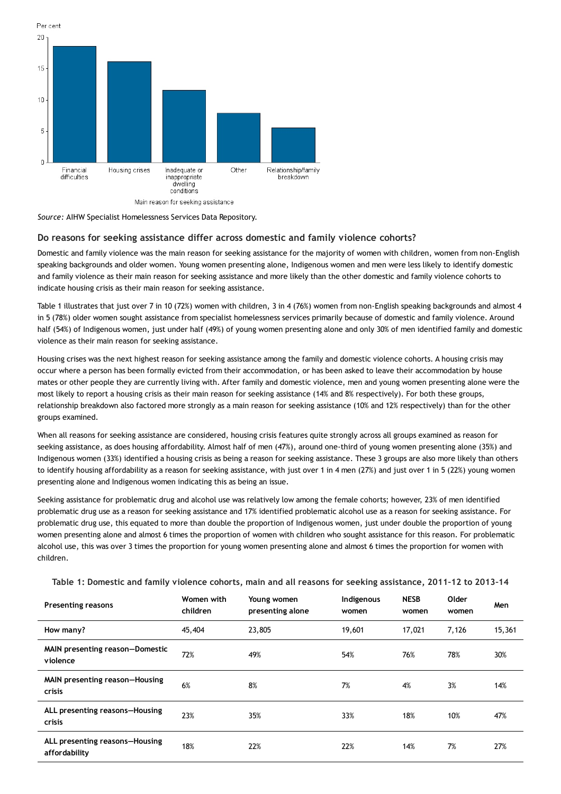

*Source:* AIHW Specialist Homelessness Services Data Repository.

#### **Do reasons for seeking assistance differ across domestic and family violence cohorts?**

Domestic and family violence was the main reason for seeking assistance for the majority of women with children, women from non-English speaking backgrounds and older women. Young women presenting alone, Indigenous women and men were less likely to identify domestic and family violence as their main reason for seeking assistance and more likely than the other domestic and family violence cohorts to indicate housing crisis as their main reason for seeking assistance.

Table 1 illustrates that just over 7 in 10 (72%) women with children, 3 in 4 (76%) women from non-English speaking backgrounds and almost 4 in 5 (78%) older women sought assistance from specialist homelessness services primarily because of domestic and family violence. Around half (54%) of Indigenous women, just under half (49%) of young women presenting alone and only 30% of men identified family and domestic violence as their main reason for seeking assistance.

Housing crises was the next highest reason for seeking assistance among the family and domestic violence cohorts. A housing crisis may occur where a person has been formally evicted from their accommodation, or has been asked to leave their accommodation by house mates or other people they are currently living with. After family and domestic violence, men and young women presenting alone were the most likely to report a housing crisis as their main reason for seeking assistance (14% and 8% respectively). For both these groups, relationship breakdown also factored more strongly as a main reason for seeking assistance (10% and 12% respectively) than for the other groups examined.

When all reasons for seeking assistance are considered, housing crisis features quite strongly across all groups examined as reason for seeking assistance, as does housing affordability. Almost half of men (47%), around one-third of young women presenting alone (35%) and Indigenous women (33%) identified a housing crisis as being a reason for seeking assistance. These 3 groups are also more likely than others to identify housing affordability as a reason for seeking assistance, with just over 1 in 4 men (27%) and just over 1 in 5 (22%) young women presenting alone and Indigenous women indicating this as being an issue.

Seeking assistance for problematic drug and alcohol use was relatively low among the female cohorts; however, 23% of men identified problematic drug use as a reason for seeking assistance and 17% identified problematic alcohol use as a reason for seeking assistance. For problematic drug use, this equated to more than double the proportion of Indigenous women, just under double the proportion of young women presenting alone and almost 6 times the proportion of women with children who sought assistance for this reason. For problematic alcohol use, this was over 3 times the proportion for young women presenting alone and almost 6 times the proportion for women with children.

| <b>Presenting reasons</b>                       | Women with<br>children | Young women<br>presenting alone | Indigenous<br>women | <b>NESB</b><br>women | Older<br>women | Men    |
|-------------------------------------------------|------------------------|---------------------------------|---------------------|----------------------|----------------|--------|
| How many?                                       | 45,404                 | 23,805                          | 19,601              | 17,021               | 7,126          | 15,361 |
| MAIN presenting reason-Domestic<br>violence     | 72%                    | 49%                             | 54%                 | 76%                  | 78%            | 30%    |
| MAIN presenting reason-Housing<br><b>crisis</b> | 6%                     | 8%                              | 7%                  | 4%                   | 3%             | 14%    |
| ALL presenting reasons-Housing<br><b>crisis</b> | 23%                    | 35%                             | 33%                 | 18%                  | 10%            | 47%    |
| ALL presenting reasons-Housing<br>affordability | 18%                    | 22%                             | 22%                 | 14%                  | 7%             | 27%    |

Table 1: Domestic and family violence cohorts, main and all reasons for seeking assistance, 2011-12 to 2013-14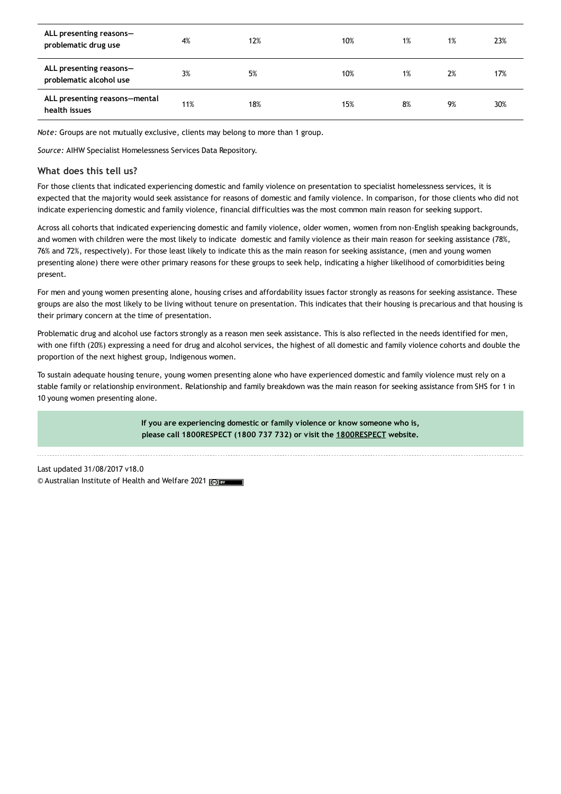| ALL presenting reasons-<br>problematic drug use    | 4%  | 12% | 10% | 1% | 1% | 23% |
|----------------------------------------------------|-----|-----|-----|----|----|-----|
| ALL presenting reasons-<br>problematic alcohol use | 3%  | 5%  | 10% | 1% | 2% | 17% |
| ALL presenting reasons-mental<br>health issues     | 11% | 18% | 15% | 8% | 9% | 30% |

*Note:* Groups are not mutually exclusive, clients may belong to more than 1 group.

*Source:* AIHW Specialist Homelessness Services Data Repository.

### **What does this tell us?**

For those clients that indicated experiencing domestic and family violence on presentation to specialist homelessness services, it is expected that the majority would seek assistance for reasons of domestic and family violence. In comparison, for those clients who did not indicate experiencing domestic and family violence, financial difficulties was the most common main reason for seeking support.

Across all cohorts that indicated experiencing domestic and family violence, older women, women from non-English speaking backgrounds, and women with children were the most likely to indicate domestic and family violence as their main reason for seeking assistance (78%, 76% and 72%, respectively). For those least likely to indicate this as the main reason for seeking assistance, (men and young women presenting alone) there were other primary reasons for these groups to seek help, indicating a higher likelihood of comorbidities being present.

For men and young women presenting alone, housing crises and affordability issues factor strongly as reasons for seeking assistance. These groups are also the most likely to be living without tenure on presentation. This indicates that their housing is precarious and that housing is their primary concern at the time of presentation.

Problematic drug and alcohol use factors strongly as a reason men seek assistance. This is also reflected in the needs identified for men, with one fifth (20%) expressing a need for drug and alcohol services, the highest of all domestic and family violence cohorts and double the proportion of the next highest group, Indigenous women.

To sustain adequate housing tenure, young women presenting alone who have experienced domestic and family violence must rely on a stable family or relationship environment. Relationship and family breakdown was the main reason for seeking assistance from SHS for 1 in 10 young women presenting alone.

> **If you are experiencing domestic or family violence or know someone who is, please call 1800RESPECT (1800 737 732) or visit the [1800RESPECT](https://www.1800respect.org.au/) website.**

Last updated 31/08/2017 v18.0 © Australian Institute of Health and Welfare 2021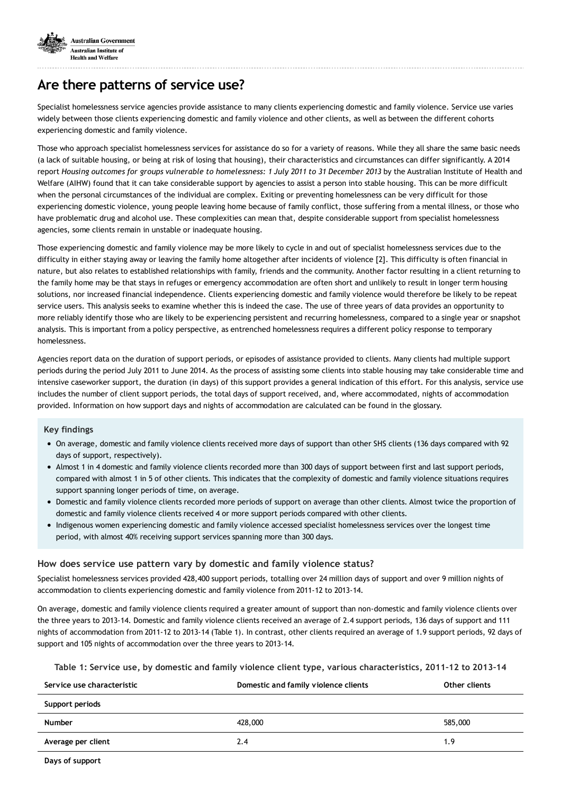

## **Are there patterns of service use?**

Specialist homelessness service agencies provide assistance to many clients experiencing domestic and family violence. Service use varies widely between those clients experiencing domestic and family violence and other clients, as well as between the different cohorts experiencing domestic and family violence.

Those who approach specialist homelessness services for assistance do so for a variety of reasons. While they all share the same basic needs (a lack of suitable housing, or being at risk of losing that housing), their characteristics and circumstances can differ significantly. A 2014 report Housing outcomes for groups vulnerable to homelessness: 1 July 2011 to 31 December 2013 by the Australian Institute of Health and Welfare (AIHW) found that it can take considerable support by agencies to assist a person into stable housing. This can be more difficult when the personal circumstances of the individual are complex. Exiting or preventing homelessness can be very difficult for those experiencing domestic violence, young people leaving home because of family conflict, those suffering from a mental illness, or those who have problematic drug and alcohol use. These complexities can mean that, despite considerable support from specialist homelessness agencies, some clients remain in unstable or inadequate housing.

Those experiencing domestic and family violence may be more likely to cycle in and out of specialist homelessness services due to the difficulty in either staying away or leaving the family home altogether after incidents of violence [2]. This difficulty is often financial in nature, but also relates to established relationships with family, friends and the community. Another factor resulting in a client returning to the family home may be that stays in refuges or emergency accommodation are often short and unlikely to result in longer term housing solutions, nor increased financial independence. Clients experiencing domestic and family violence would therefore be likely to be repeat service users. This analysis seeks to examine whether this is indeed the case. The use of three years of data provides an opportunity to more reliably identify those who are likely to be experiencing persistent and recurring homelessness, compared to a single year or snapshot analysis. This is important from a policy perspective, as entrenched homelessness requires a different policy response to temporary homelessness.

Agencies report data on the duration of support periods, or episodes of assistance provided to clients. Many clients had multiple support periods during the period July 2011 to June 2014. As the process of assisting some clients into stable housing may take considerable time and intensive caseworker support, the duration (in days) of this support provides a general indication of this effort. For this analysis, service use includes the number of client support periods, the total days of support received, and, where accommodated, nights of accommodation provided. Information on how support days and nights of accommodation are calculated can be found in the glossary.

#### **Key findings**

- On average, domestic and family violence clients received more days of support than other SHS clients (136 days compared with 92 days of support, respectively).
- Almost 1 in 4 domestic and family violence clients recorded more than 300 days of support between first and last support periods, compared with almost 1 in 5 of other clients. This indicates that the complexity of domestic and family violence situations requires support spanning longer periods of time, on average.
- Domestic and family violence clients recorded more periods of support on average than other clients. Almost twice the proportion of domestic and family violence clients received 4 or more support periods compared with other clients.
- Indigenous women experiencing domestic and family violence accessed specialist homelessness services over the longest time period, with almost 40% receiving support services spanning more than 300 days.

## **How does service use pattern vary by domestic and family violence status?**

Specialist homelessness services provided 428,400 support periods, totalling over 24 million days of support and over 9 million nights of accommodation to clients experiencing domestic and family violence from 2011-12 to 2013-14.

On average, domestic and family violence clients required a greater amount of support than non-domestic and family violence clients over the three years to 2013-14. Domestic and family violence clients received an average of 2.4 support periods, 136 days of support and 111 nights of accommodation from 2011-12 to 2013-14 (Table 1). In contrast, other clients required an average of 1.9 support periods, 92 days of support and 105 nights of accommodation over the three years to 2013-14.

**Table 1: Service use, by domestic and family violence client type, various characteristics, 2011–12 to 2013–14**

| Service use characteristic | Domestic and family violence clients | Other clients |
|----------------------------|--------------------------------------|---------------|
| Support periods            |                                      |               |
| <b>Number</b>              | 428,000                              | 585,000       |
| Average per client         | 2.4                                  | 1.9           |
| Dave of cunnort            |                                      |               |

**Days of support**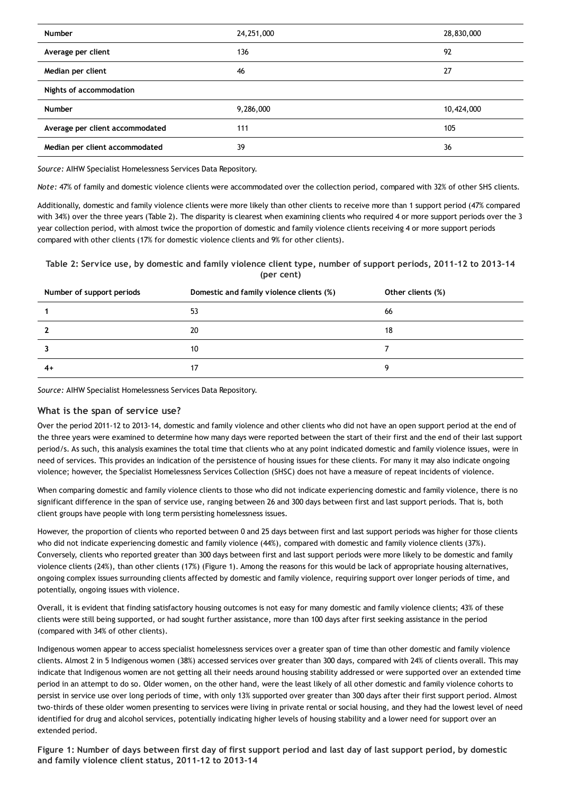| <b>Number</b>                   | 24, 251, 000 | 28,830,000 |
|---------------------------------|--------------|------------|
| Average per client              | 136          | 92         |
| Median per client               | 46           | 27         |
| Nights of accommodation         |              |            |
| <b>Number</b>                   | 9,286,000    | 10,424,000 |
| Average per client accommodated | 111          | 105        |
| Median per client accommodated  | 39           | 36         |

*Source:* AIHW Specialist Homelessness Services Data Repository.

*Note:* 47% of family and domestic violence clients were accommodated over the collection period, compared with 32% of other SHS clients.

Additionally, domestic and family violence clients were more likely than other clients to receive more than 1 support period (47% compared with 34%) over the three years (Table 2). The disparity is clearest when examining clients who required 4 or more support periods over the 3 year collection period, with almost twice the proportion of domestic and family violence clients receiving 4 or more support periods compared with other clients (17% for domestic violence clients and 9% for other clients).

Table 2: Service use, by domestic and family violence client type, number of support periods, 2011-12 to 2013-14 **(per cent)**

| Number of support periods | Domestic and family violence clients (%) | Other clients (%) |
|---------------------------|------------------------------------------|-------------------|
|                           | 53                                       | 66                |
|                           | 20                                       | 18                |
|                           | 10                                       |                   |
| 4+                        | 17                                       | a                 |

*Source:* AIHW Specialist Homelessness Services Data Repository.

## **What is the span of service use?**

Over the period 2011-12 to 2013-14, domestic and family violence and other clients who did not have an open support period at the end of the three years were examined to determine how many days were reported between the start of their first and the end of their last support period/s. As such, this analysis examines the total time that clients who at any point indicated domestic and family violence issues, were in need of services. This provides an indication of the persistence of housing issues for these clients. For many it may also indicate ongoing violence; however, the Specialist Homelessness Services Collection (SHSC) does not have a measure of repeat incidents of violence.

When comparing domestic and family violence clients to those who did not indicate experiencing domestic and family violence, there is no significant difference in the span of service use, ranging between 26 and 300 days between first and last support periods. That is, both client groups have people with long term persisting homelessness issues.

However, the proportion of clients who reported between 0 and 25 days between first and last support periods was higher for those clients who did not indicate experiencing domestic and family violence (44%), compared with domestic and family violence clients (37%). Conversely, clients who reported greater than 300 days between first and last support periods were more likely to be domestic and family violence clients (24%), than other clients (17%) (Figure 1). Among the reasons for this would be lack of appropriate housing alternatives, ongoing complex issues surrounding clients affected by domestic and family violence, requiring support over longer periods of time, and potentially, ongoing issues with violence.

Overall, it is evident that finding satisfactory housing outcomes is not easy for many domestic and family violence clients; 43% of these clients were still being supported, or had sought further assistance, more than 100 days after first seeking assistance in the period (compared with 34% of other clients).

Indigenous women appear to access specialist homelessness services over a greater span of time than other domestic and family violence clients. Almost 2 in 5 Indigenous women (38%) accessed services over greater than 300 days, compared with 24% of clients overall. This may indicate that Indigenous women are not getting all their needs around housing stability addressed or were supported over an extended time period in an attempt to do so. Older women, on the other hand, were the least likely of all other domestic and family violence cohorts to persist in service use over long periods of time, with only 13% supported over greater than 300 days after their first support period. Almost two-thirds of these older women presenting to services were living in private rental or social housing, and they had the lowest level of need identified for drug and alcohol services, potentially indicating higher levels of housing stability and a lower need for support over an extended period.

Figure 1: Number of days between first day of first support period and last day of last support period, by domestic **and family violence client status, 2011-12 to 2013-14**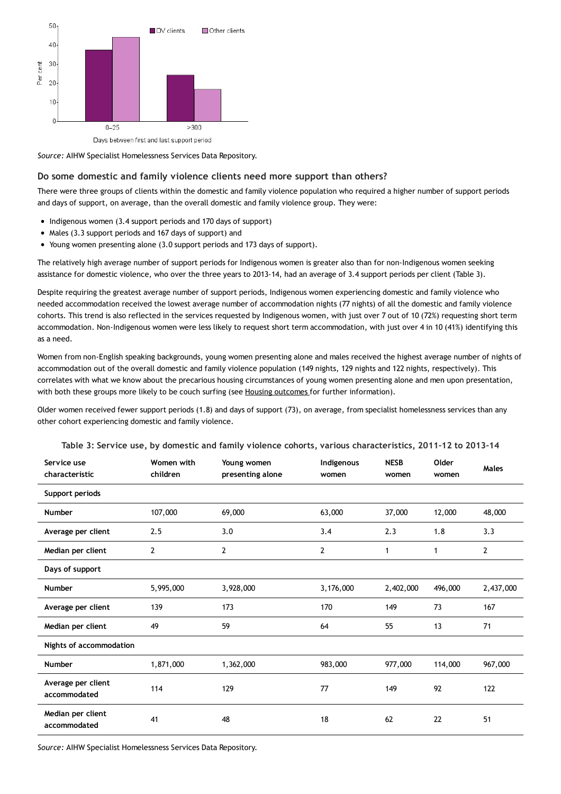

Days between first and last support period

*Source:* AIHW Specialist Homelessness Services Data Repository.

#### **Do some domestic and family violence clients need more support than others?**

There were three groups of clients within the domestic and family violence population who required a higher number of support periods and days of support, on average, than the overall domestic and family violence group. They were:

- Indigenous women (3.4 support periods and 170 days of support)
- Males (3.3 support periods and 167 days of support) and
- Young women presenting alone (3.0 support periods and 173 days of support).

The relatively high average number of support periods for Indigenous women is greater also than for non-Indigenous women seeking assistance for domestic violence, who over the three years to 2013-14, had an average of 3.4 support periods per client (Table 3).

Despite requiring the greatest average number of support periods, Indigenous women experiencing domestic and family violence who needed accommodation received the lowest average number of accommodation nights (77 nights) of all the domestic and family violence cohorts. This trend is also reflected in the services requested by Indigenous women, with just over 7 out of 10 (72%) requesting short term accommodation. Non-Indigenous women were less likely to request short term accommodation, with just over 4 in 10 (41%) identifying this as a need.

Women from non-English speaking backgrounds, young women presenting alone and males received the highest average number of nights of accommodation out of the overall domestic and family violence population (149 nights, 129 nights and 122 nights, respectively). This correlates with what we know about the precarious housing circumstances of young women presenting alone and men upon presentation, with both these groups more likely to be couch surfing (see Housing [outcomes](https://www.aihw.gov.au/reports/domestic-violence/domestic-family-violence-homelessness-2011-12-to-2013-14/contents/are-housing-outcomes-for-domestic-and-family-violence-clients-improved-over-the-long-term) for further information).

Older women received fewer support periods (1.8) and days of support (73), on average, from specialist homelessness services than any other cohort experiencing domestic and family violence.

| Service use<br>characteristic      | Women with<br>children | Young women<br>presenting alone | Indigenous<br>women | <b>NESB</b><br>women | Older<br>women | Males     |
|------------------------------------|------------------------|---------------------------------|---------------------|----------------------|----------------|-----------|
| Support periods                    |                        |                                 |                     |                      |                |           |
| <b>Number</b>                      | 107,000                | 69,000                          | 63,000              | 37,000               | 12,000         | 48,000    |
| Average per client                 | 2.5                    | 3.0                             | 3.4                 | 2.3                  | 1.8            | 3.3       |
| Median per client                  | 2                      | 2                               | 2                   | 1                    | 1              | 2         |
| Days of support                    |                        |                                 |                     |                      |                |           |
| <b>Number</b>                      | 5,995,000              | 3,928,000                       | 3,176,000           | 2,402,000            | 496,000        | 2,437,000 |
| Average per client                 | 139                    | 173                             | 170                 | 149                  | 73             | 167       |
| Median per client                  | 49                     | 59                              | 64                  | 55                   | 13             | 71        |
| Nights of accommodation            |                        |                                 |                     |                      |                |           |
| <b>Number</b>                      | 1,871,000              | 1,362,000                       | 983,000             | 977,000              | 114,000        | 967,000   |
| Average per client<br>accommodated | 114                    | 129                             | 77                  | 149                  | 92             | 122       |
| Median per client<br>accommodated  | 41                     | 48                              | 18                  | 62                   | 22             | 51        |

**Table 3: Service use, by domestic and family violence cohorts, various characteristics, 2011–12 to 2013–14**

*Source:* AIHW Specialist Homelessness Services Data Repository.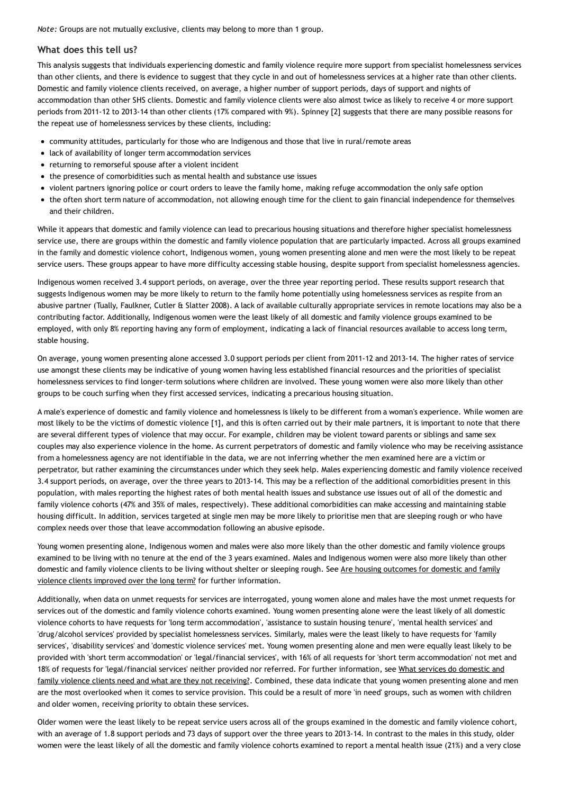*Note:* Groups are not mutually exclusive, clients may belong to more than 1 group.

## **What does this tell us?**

This analysis suggests that individuals experiencing domestic and family violence require more support from specialist homelessness services than other clients, and there is evidence to suggest that they cycle in and out of homelessness services at a higher rate than other clients. Domestic and family violence clients received, on average, a higher number of support periods, days of support and nights of accommodation than other SHS clients. Domestic and family violence clients were also almost twice as likely to receive 4 or more support periods from 2011-12 to 2013-14 than other clients (17% compared with 9%). Spinney [2] suggests that there are many possible reasons for the repeat use of homelessness services by these clients, including:

- community attitudes, particularly for those who are Indigenous and those that live in rural/remote areas
- lack of availability of longer term accommodation services
- returning to remorseful spouse after a violent incident
- the presence of comorbidities such as mental health and substance use issues
- violent partners ignoring police or court orders to leave the family home, making refuge accommodation the only safe option
- the often short term nature of accommodation, not allowing enough time for the client to gain financial independence for themselves and their children.

While it appears that domestic and family violence can lead to precarious housing situations and therefore higher specialist homelessness service use, there are groups within the domestic and family violence population that are particularly impacted. Across all groups examined in the family and domestic violence cohort, Indigenous women, young women presenting alone and men were the most likely to be repeat service users. These groups appear to have more difficulty accessing stable housing, despite support from specialist homelessness agencies.

Indigenous women received 3.4 support periods, on average, over the three year reporting period. These results support research that suggests Indigenous women may be more likely to return to the family home potentially using homelessness services as respite from an abusive partner (Tually, Faulkner, Cutler & Slatter 2008). A lack of available culturally appropriate services in remote locations may also be a contributing factor. Additionally, Indigenous women were the least likely of all domestic and family violence groups examined to be employed, with only 8% reporting having any form of employment, indicating a lack of financial resources available to access long term, stable housing.

On average, young women presenting alone accessed 3.0 support periods per client from 2011-12 and 2013-14. The higher rates of service use amongst these clients may be indicative of young women having less established financial resources and the priorities of specialist homelessness services to find longer-term solutions where children are involved. These young women were also more likely than other groups to be couch surfing when they first accessed services, indicating a precarious housing situation.

A male's experience of domestic and family violence and homelessness is likely to be different from a woman's experience. While women are most likely to be the victims of domestic violence [1], and this is often carried out by their male partners, it is important to note that there are several different types of violence that may occur. For example, children may be violent toward parents or siblings and same sex couples may also experience violence in the home. As current perpetrators of domestic and family violence who may be receiving assistance from a homelessness agency are not identifiable in the data, we are not inferring whether the men examined here are a victim or perpetrator, but rather examining the circumstances under which they seek help. Males experiencing domestic and family violence received 3.4 support periods, on average, over the three years to 2013-14. This may be a reflection of the additional comorbidities present in this population, with males reporting the highest rates of both mental health issues and substance use issues out of all of the domestic and family violence cohorts (47% and 35% of males, respectively). These additional comorbidities can make accessing and maintaining stable housing difficult. In addition, services targeted at single men may be more likely to prioritise men that are sleeping rough or who have complex needs over those that leave accommodation following an abusive episode.

Young women presenting alone, Indigenous women and males were also more likely than the other domestic and family violence groups examined to be living with no tenure at the end of the 3 years examined. Males and Indigenous women were also more likely than other domestic and family violence clients to be living without shelter or sleeping rough. See Are housing outcomes for domestic and family violence clients improved over the long term? for further [information.](https://www.aihw.gov.au/reports/domestic-violence/domestic-family-violence-homelessness-2011-12-to-2013-14/contents/are-housing-outcomes-for-domestic-and-family-violence-clients-improved-over-the-long-term)

Additionally, when data on unmet requests for services are interrogated, young women alone and males have the most unmet requests for services out of the domestic and family violence cohorts examined. Young women presenting alone were the least likely of all domestic violence cohorts to have requests for 'long term accommodation', 'assistance to sustain housing tenure', 'mental health services' and 'drug/alcohol services' provided by specialist homelessness services. Similarly, males were the least likely to have requests for 'family services', 'disability services' and 'domestic violence services' met. Young women presenting alone and men were equally least likely to be provided with 'short term accommodation' or 'legal/financial services', with 16% of all requests for 'short term accommodation' not met and 18% of requests for ['legal/financial](https://www.aihw.gov.au/reports/domestic-violence/domestic-family-violence-homelessness-2011-12-to-2013-14/contents/what-services-do-clients-need-and-what-are-they-not-receiving) services' neither provided nor referred. For further information, see What services do domestic and family violence clients need and what are they not receiving?. Combined, these data indicate that young women presenting alone and men are the most overlooked when it comes to service provision. This could be a result of more 'in need' groups, such as women with children and older women, receiving priority to obtain these services.

Older women were the least likely to be repeat service users across all of the groups examined in the domestic and family violence cohort, with an average of 1.8 support periods and 73 days of support over the three years to 2013-14. In contrast to the males in this study, older women were the least likely of all the domestic and family violence cohorts examined to report a mental health issue (21%) and a very close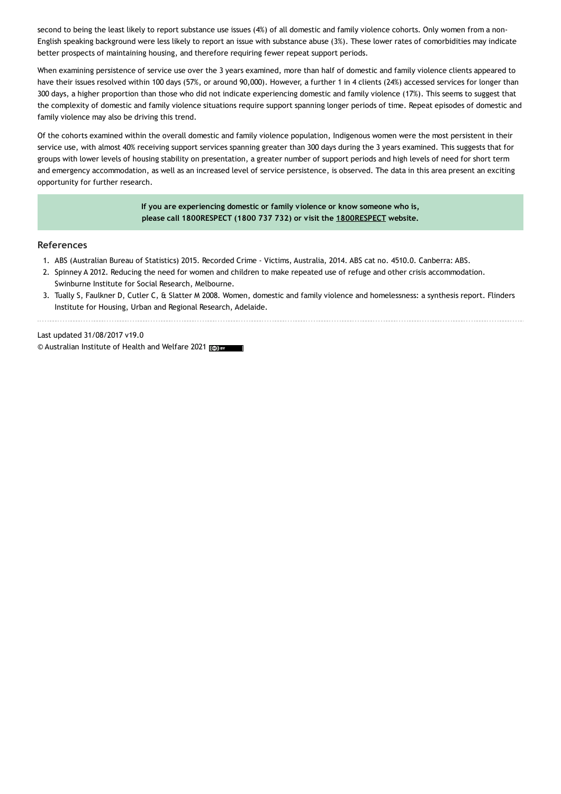second to being the least likely to report substance use issues (4%) of all domestic and family violence cohorts. Only women from a non-English speaking background were less likely to report an issue with substance abuse (3%). These lower rates of comorbidities may indicate better prospects of maintaining housing, and therefore requiring fewer repeat support periods.

When examining persistence of service use over the 3 years examined, more than half of domestic and family violence clients appeared to have their issues resolved within 100 days (57%, or around 90,000). However, a further 1 in 4 clients (24%) accessed services for longer than 300 days, a higher proportion than those who did not indicate experiencing domestic and family violence (17%). This seems to suggest that the complexity of domestic and family violence situations require support spanning longer periods of time. Repeat episodes of domestic and family violence may also be driving this trend.

Of the cohorts examined within the overall domestic and family violence population, Indigenous women were the most persistent in their service use, with almost 40% receiving support services spanning greater than 300 days during the 3 years examined. This suggests that for groups with lower levels of housing stability on presentation, a greater number of support periods and high levels of need for short term and emergency accommodation, as well as an increased level of service persistence, is observed. The data in this area present an exciting opportunity for further research.

> **If you are experiencing domestic or family violence or know someone who is, please call 1800RESPECT (1800 737 732) or visit the [1800RESPECT](https://www.1800respect.org.au/) website.**

#### **References**

- 1. ABS (Australian Bureau of Statistics) 2015. Recorded Crime Victims, Australia, 2014. ABS cat no. 4510.0. Canberra: ABS.
- 2. Spinney A 2012. Reducing the need for women and children to make repeated use of refuge and other crisis accommodation. Swinburne Institute for Social Research, Melbourne.
- 3. Tually S, Faulkner D, Cutler C, & Slatter M 2008. Women, domestic and family violence and homelessness: a synthesis report. Flinders Institute for Housing, Urban and Regional Research, Adelaide.

Last updated 31/08/2017 v19.0 © Australian Institute of Health and Welfare 2021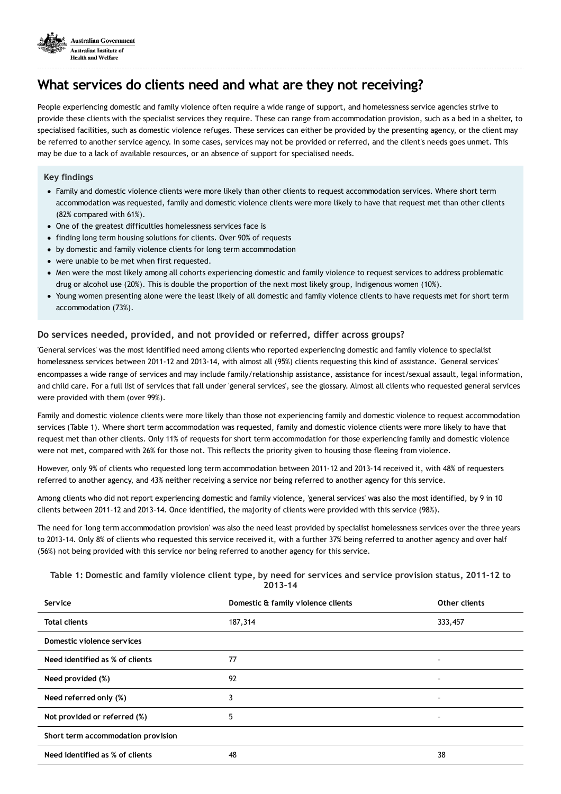

# **What services do clients need and what are they not receiving?**

People experiencing domestic and family violence often require a wide range of support, and homelessness service agencies strive to provide these clients with the specialist services they require. These can range from accommodation provision, such as a bed in a shelter, to specialised facilities, such as domestic violence refuges. These services can either be provided by the presenting agency, or the client may be referred to another service agency. In some cases, services may not be provided or referred, and the client's needs goes unmet. This may be due to a lack of available resources, or an absence of support for specialised needs.

### **Key findings**

- Family and domestic violence clients were more likely than other clients to request accommodation services. Where short term accommodation was requested, family and domestic violence clients were more likely to have that request met than other clients (82% compared with 61%).
- One of the greatest difficulties homelessness services face is
- finding long term housing solutions for clients. Over 90% of requests
- by domestic and family violence clients for long term accommodation
- were unable to be met when first requested.
- Men were the most likely among all cohorts experiencing domestic and family violence to request services to address problematic drug or alcohol use (20%). This is double the proportion of the next most likely group, Indigenous women (10%).
- Young women presenting alone were the least likely of all domestic and family violence clients to have requests met for short term accommodation (73%).

## **Do services needed, provided, and not provided or referred, differ across groups?**

'General services' was the most identified need among clients who reported experiencing domestic and family violence to specialist homelessness services between 2011-12 and 2013-14, with almost all (95%) clients requesting this kind of assistance. 'General services' encompasses a wide range of services and may include family/relationship assistance, assistance for incest/sexual assault, legal information, and child care. For a full list of services that fall under 'general services', see the glossary. Almost all clients who requested general services were provided with them (over 99%).

Family and domestic violence clients were more likely than those not experiencing family and domestic violence to request accommodation services (Table 1). Where short term accommodation was requested, family and domestic violence clients were more likely to have that request met than other clients. Only 11% of requests for short term accommodation for those experiencing family and domestic violence were not met, compared with 26% for those not. This reflects the priority given to housing those fleeing from violence.

However, only 9% of clients who requested long term accommodation between 2011-12 and 2013-14 received it, with 48% of requesters referred to another agency, and 43% neither receiving a service nor being referred to another agency for this service.

Among clients who did not report experiencing domestic and family violence, 'general services' was also the most identified, by 9 in 10 clients between 2011-12 and 2013-14. Once identified, the majority of clients were provided with this service (98%).

The need for 'long term accommodation provision' was also the need least provided by specialist homelessness services over the three years to 2013-14. Only 8% of clients who requested this service received it, with a further 37% being referred to another agency and over half (56%) not being provided with this service nor being referred to another agency for this service.

#### Table 1: Domestic and family violence client type, by need for services and service provision status, 2011-12 to **2013–14**

| Service                            | Domestic & family violence clients | Other clients            |
|------------------------------------|------------------------------------|--------------------------|
| <b>Total clients</b>               | 187,314                            | 333,457                  |
| Domestic violence services         |                                    |                          |
| Need identified as % of clients    | 77                                 | $\overline{\phantom{a}}$ |
| Need provided (%)                  | 92                                 |                          |
| Need referred only (%)             | 3                                  | $\qquad \qquad -$        |
| Not provided or referred (%)       | 5                                  | -                        |
| Short term accommodation provision |                                    |                          |
| Need identified as % of clients    | 48                                 | 38                       |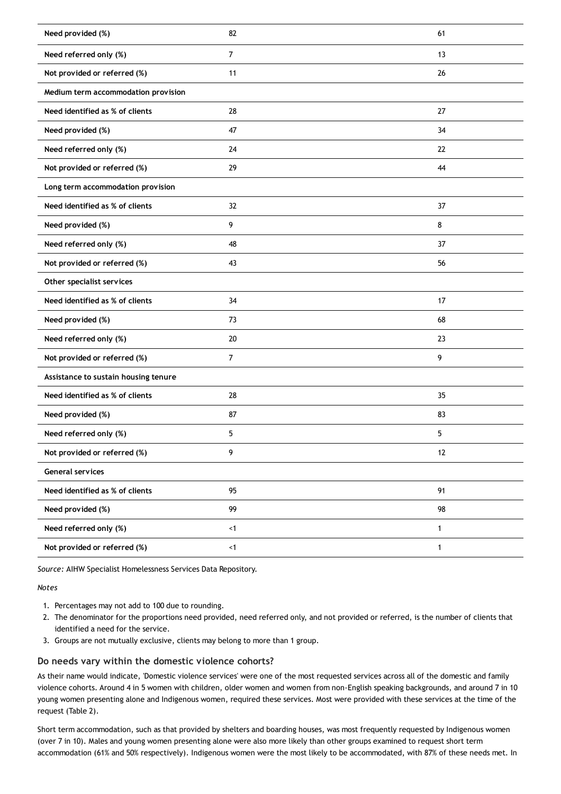| Need provided (%)                    | 82             | 61           |
|--------------------------------------|----------------|--------------|
| Need referred only (%)               | $\overline{7}$ | 13           |
| Not provided or referred (%)         | 11             | 26           |
| Medium term accommodation provision  |                |              |
| Need identified as % of clients      | 28             | 27           |
| Need provided (%)                    | 47             | 34           |
| Need referred only (%)               | 24             | 22           |
| Not provided or referred (%)         | 29             | 44           |
| Long term accommodation provision    |                |              |
| Need identified as % of clients      | 32             | 37           |
| Need provided (%)                    | 9              | 8            |
| Need referred only (%)               | 48             | 37           |
| Not provided or referred (%)         | 43             | 56           |
| Other specialist services            |                |              |
|                                      |                |              |
| Need identified as % of clients      | 34             | 17           |
| Need provided (%)                    | 73             | 68           |
| Need referred only (%)               | 20             | 23           |
| Not provided or referred (%)         | 7              | 9            |
| Assistance to sustain housing tenure |                |              |
| Need identified as % of clients      | 28             | 35           |
| Need provided (%)                    | 87             | 83           |
| Need referred only (%)               | 5              | 5            |
| Not provided or referred (%)         | 9              | 12           |
| <b>General services</b>              |                |              |
| Need identified as % of clients      | 95             | 91           |
| Need provided (%)                    | 99             | 98           |
| Need referred only (%)               | < 1            | $\mathbf{1}$ |

*Source:* AIHW Specialist Homelessness Services Data Repository.

#### *Notes*

- 1. Percentages may not add to 100 due to rounding.
- 2. The denominator for the proportions need provided, need referred only, and not provided or referred, is the number of clients that identified a need for the service.
- 3. Groups are not mutually exclusive, clients may belong to more than 1 group.

## **Do needs vary within the domestic violence cohorts?**

As their name would indicate, 'Domestic violence services' were one of the most requested services across all of the domestic and family violence cohorts. Around 4 in 5 women with children, older women and women from non-English speaking backgrounds, and around 7 in 10 young women presenting alone and Indigenous women, required these services. Most were provided with these services at the time of the request (Table 2).

Short term accommodation, such as that provided by shelters and boarding houses, was most frequently requested by Indigenous women (over 7 in 10). Males and young women presenting alone were also more likely than other groups examined to request short term accommodation (61% and 50% respectively). Indigenous women were the most likely to be accommodated, with 87% of these needs met. In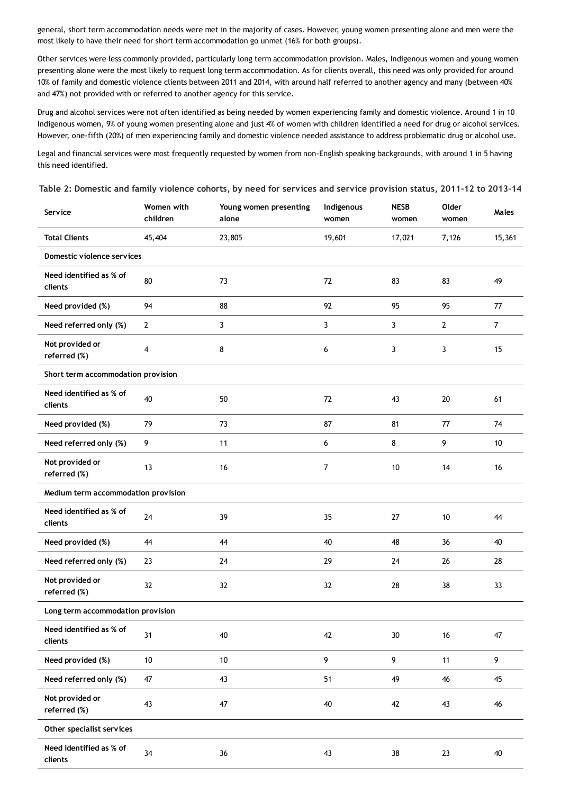general, short term accommodation needs were met in the majority of cases. However, young women presenting alone and men were the most likely to have their need for short term accommodation go unmet (16% for both groups).

Other services were less commonly provided, particularly long term accommodation provision. Males, Indigenous women and young women presenting alone were the most likely to request long term accommodation. As for clients overall, this need was only provided for around 10% of family and domestic violence clients between 2011 and 2014, with around half referred to another agency and many (between 40% and 47%) not provided with or referred to another agency for this service.

Drug and alcohol services were not often identified as being needed by women experiencing family and domestic violence. Around 1 in 10 Indigenous women, 9% of young women presenting alone and just 4% of women with children identified a need for drug or alcohol services. However, one-fifth (20%) of men experiencing family and domestic violence needed assistance to address problematic drug or alcohol use.

Legal and financial services were most frequently requested by women from non-English speaking backgrounds, with around 1 in 5 having this need identified.

| Service                             | Women with<br>children | Young women presenting<br>alone | Indigenous<br>women | <b>NESB</b><br>women | Older<br>women | Males          |
|-------------------------------------|------------------------|---------------------------------|---------------------|----------------------|----------------|----------------|
| <b>Total Clients</b>                | 45,404                 | 23,805                          | 19,601              | 17,021               | 7,126          | 15,361         |
| Domestic violence services          |                        |                                 |                     |                      |                |                |
| Need identified as % of<br>clients  | 80                     | 73                              | 72                  | 83                   | 83             | 49             |
| Need provided (%)                   | 94                     | 88                              | 92                  | 95                   | 95             | 77             |
| Need referred only (%)              | $\overline{2}$         | 3                               | 3                   | 3                    | $\overline{2}$ | $\overline{7}$ |
| Not provided or<br>referred (%)     | $\overline{4}$         | 8                               | 6                   | 3                    | 3              | 15             |
| Short term accommodation provision  |                        |                                 |                     |                      |                |                |
| Need identified as % of<br>clients  | 40                     | 50                              | 72                  | 43                   | 20             | 61             |
| Need provided (%)                   | 79                     | 73                              | 87                  | 81                   | 77             | 74             |
| Need referred only (%)              | 9                      | 11                              | 6                   | 8                    | 9              | 10             |
| Not provided or<br>referred (%)     | 13                     | 16                              | $\boldsymbol{7}$    | 10                   | 14             | 16             |
| Medium term accommodation provision |                        |                                 |                     |                      |                |                |
| Need identified as % of<br>clients  | 24                     | 39                              | 35                  | 27                   | 10             | 44             |
| Need provided (%)                   | 44                     | 44                              | 40                  | 48                   | 36             | 40             |
| Need referred only (%)              | 23                     | 24                              | 29                  | 24                   | 26             | 28             |
| Not provided or<br>referred (%)     | 32                     | 32                              | 32                  | 28                   | 38             | 33             |
| Long term accommodation provision   |                        |                                 |                     |                      |                |                |
| Need identified as % of<br>clients  | 31                     | 40                              | 42                  | 30                   | 16             | 47             |
| Need provided (%)                   | $10\,$                 | $10\,$                          | $\boldsymbol{9}$    | 9                    | 11             | 9              |
| Need referred only (%)              | 47                     | 43                              | 51                  | 49                   | 46             | 45             |
| Not provided or<br>referred (%)     | 43                     | 47                              | 40                  | 42                   | 43             | 46             |
| Other specialist services           |                        |                                 |                     |                      |                |                |
| Need identified as % of<br>clients  | 34                     | 36                              | 43                  | 38                   | 23             | 40             |

Table 2: Domestic and family violence cohorts, by need for services and service provision status, 2011-12 to 2013-14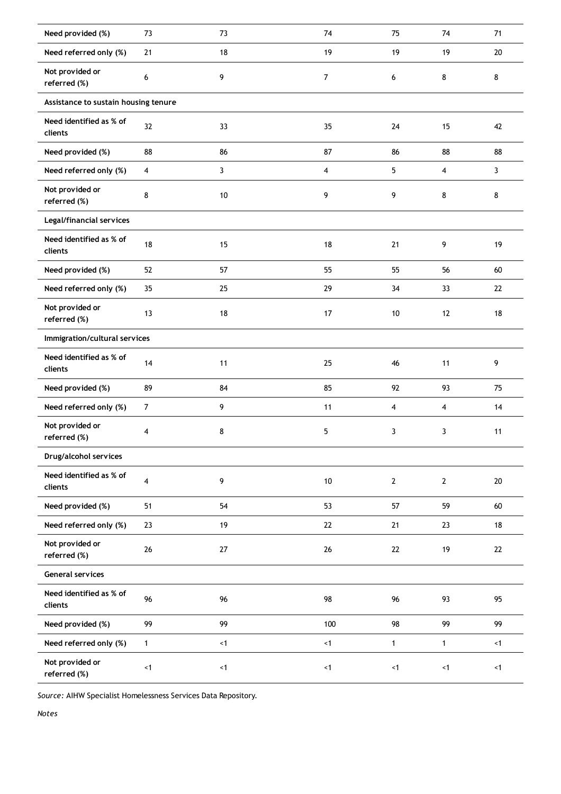| Need provided (%)                    | 73             | 73     | 74       | 75                      | 74                      | 71     |
|--------------------------------------|----------------|--------|----------|-------------------------|-------------------------|--------|
| Need referred only (%)               | $21$           | 18     | 19       | 19                      | 19                      | 20     |
| Not provided or<br>referred (%)      | 6              | 9      | 7        | 6                       | 8                       | 8      |
| Assistance to sustain housing tenure |                |        |          |                         |                         |        |
| Need identified as % of<br>clients   | 32             | 33     | 35       | 24                      | 15                      | 42     |
| Need provided (%)                    | 88             | 86     | 87       | 86                      | 88                      | 88     |
| Need referred only (%)               | $\overline{4}$ | 3      | 4        | 5                       | $\overline{\mathbf{4}}$ | 3      |
| Not provided or<br>referred (%)      | 8              | $10\,$ | 9        | 9                       | 8                       | 8      |
| Legal/financial services             |                |        |          |                         |                         |        |
| Need identified as % of<br>clients   | 18             | 15     | 18       | 21                      | 9                       | 19     |
| Need provided (%)                    | 52             | 57     | 55       | 55                      | 56                      | 60     |
| Need referred only (%)               | 35             | 25     | 29       | 34                      | 33                      | 22     |
| Not provided or<br>referred (%)      | 13             | 18     | 17       | 10                      | 12                      | 18     |
| Immigration/cultural services        |                |        |          |                         |                         |        |
| Need identified as % of<br>clients   | 14             | 11     | 25       | 46                      | 11                      | 9      |
| Need provided (%)                    | 89             | 84     | 85       | 92                      | 93                      | 75     |
| Need referred only (%)               | $\overline{7}$ | 9      | 11       | $\overline{\mathbf{4}}$ | $\overline{\mathbf{4}}$ | 14     |
| Not provided or<br>referred (%)      | 4              | 8      | 5        | 3                       | 3                       | 11     |
| Drug/alcohol services                |                |        |          |                         |                         |        |
| Need identified as % of<br>clients   | 4              | 9      | $10$     | $\mathbf{2}$            | $\mathbf{2}$            | $20\,$ |
| Need provided (%)                    | 51             | 54     | 53       | 57                      | 59                      | 60     |
| Need referred only (%)               | $23\,$         | 19     | $22\,$   | 21                      | 23                      | 18     |
| Not provided or<br>referred (%)      | $26\,$         | $27\,$ | $26\,$   | $22\,$                  | 19                      | 22     |
| General services                     |                |        |          |                         |                         |        |
| Need identified as % of<br>clients   | 96             | 96     | 98       | 96                      | 93                      | 95     |
| Need provided (%)                    |                |        |          |                         |                         | 99     |
|                                      | 99             | 99     | 100      | 98                      | 99                      |        |
| Need referred only (%)               | $\mathbf{1}$   | < 1    | $\leq 1$ | $\mathbf{1}$            | $\mathbf{1}$            | < 1    |

*Source:* AIHW Specialist Homelessness Services Data Repository.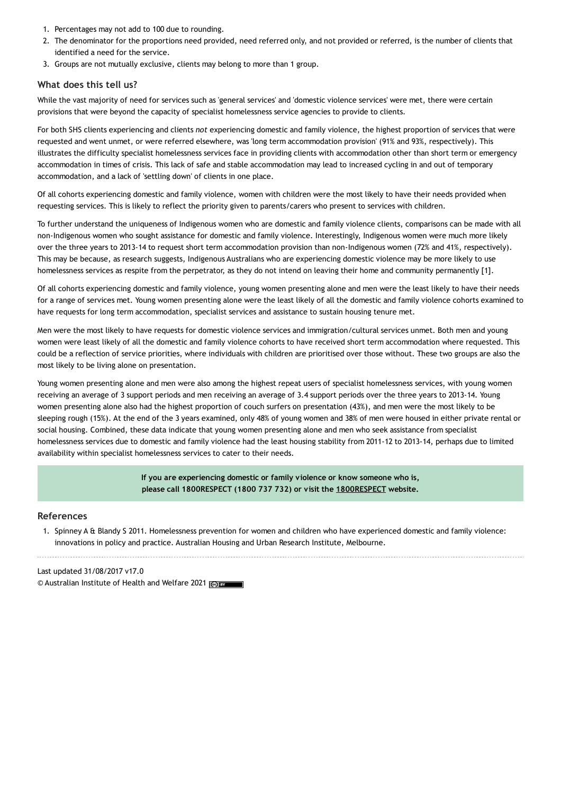- 1. Percentages may not add to 100 due to rounding.
- 2. The denominator for the proportions need provided, need referred only, and not provided or referred, is the number of clients that identified a need for the service.
- 3. Groups are not mutually exclusive, clients may belong to more than 1 group.

### **What does this tell us?**

While the vast majority of need for services such as 'general services' and 'domestic violence services' were met, there were certain provisions that were beyond the capacity of specialist homelessness service agencies to provide to clients.

For both SHS clients experiencing and clients *not* experiencing domestic and family violence, the highest proportion of services that were requested and went unmet, or were referred elsewhere, was 'long term accommodation provision' (91% and 93%, respectively). This illustrates the difficulty specialist homelessness services face in providing clients with accommodation other than short term or emergency accommodation in times of crisis. This lack of safe and stable accommodation may lead to increased cycling in and out of temporary accommodation, and a lack of 'settling down' of clients in one place.

Of all cohorts experiencing domestic and family violence, women with children were the most likely to have their needs provided when requesting services. This is likely to reflect the priority given to parents/carers who present to services with children.

To further understand the uniqueness of Indigenous women who are domestic and family violence clients, comparisons can be made with all non-Indigenous women who sought assistance for domestic and family violence. Interestingly, Indigenous women were much more likely over the three years to 2013-14 to request short term accommodation provision than non-Indigenous women (72% and 41%, respectively). This may be because, as research suggests, Indigenous Australians who are experiencing domestic violence may be more likely to use homelessness services as respite from the perpetrator, as they do not intend on leaving their home and community permanently [1].

Of all cohorts experiencing domestic and family violence, young women presenting alone and men were the least likely to have their needs for a range of services met. Young women presenting alone were the least likely of all the domestic and family violence cohorts examined to have requests for long term accommodation, specialist services and assistance to sustain housing tenure met.

Men were the most likely to have requests for domestic violence services and immigration/cultural services unmet. Both men and young women were least likely of all the domestic and family violence cohorts to have received short term accommodation where requested. This could be a reflection of service priorities, where individuals with children are prioritised over those without. These two groups are also the most likely to be living alone on presentation.

Young women presenting alone and men were also among the highest repeat users of specialist homelessness services, with young women receiving an average of 3 support periods and men receiving an average of 3.4 support periods over the three years to 2013-14. Young women presenting alone also had the highest proportion of couch surfers on presentation (43%), and men were the most likely to be sleeping rough (15%). At the end of the 3 years examined, only 48% of young women and 38% of men were housed in either private rental or social housing. Combined, these data indicate that young women presenting alone and men who seek assistance from specialist homelessness services due to domestic and family violence had the least housing stability from 2011-12 to 2013-14, perhaps due to limited availability within specialist homelessness services to cater to their needs.

> **If you are experiencing domestic or family violence or know someone who is, please call 1800RESPECT (1800 737 732) or visit the [1800RESPECT](https://www.1800respect.org.au/) website.**

### **References**

1. Spinney A & Blandy S 2011. Homelessness prevention for women and children who have experienced domestic and family violence: innovations in policy and practice. Australian Housing and Urban Research Institute, Melbourne.

Last updated 31/08/2017 v17.0 © Australian Institute of Health and Welfare 2021 (co) BY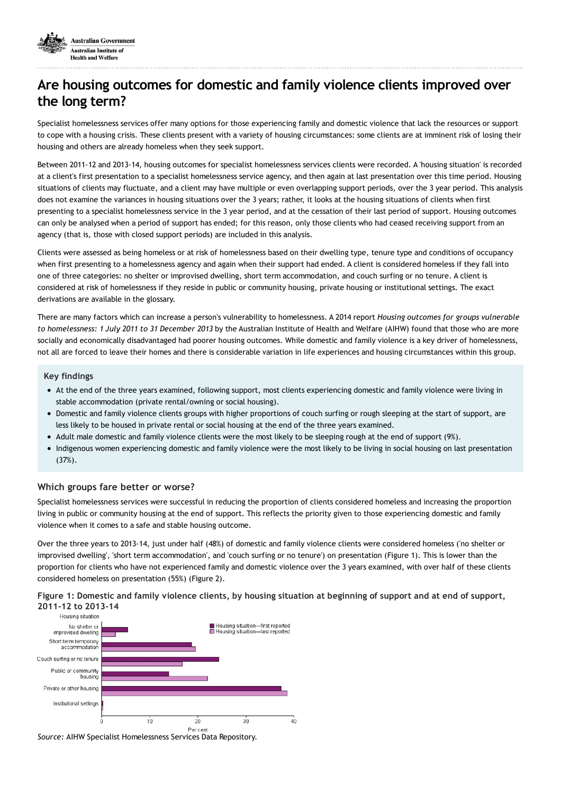

# **Are housing outcomes for domestic and family violence clients improved over the long term?**

Specialist homelessness services offer many options for those experiencing family and domestic violence that lack the resources or support to cope with a housing crisis. These clients present with a variety of housing circumstances: some clients are at imminent risk of losing their housing and others are already homeless when they seek support.

Between 2011-12 and 2013-14, housing outcomes for specialist homelessness services clients were recorded. A 'housing situation' is recorded at a client's first presentation to a specialist homelessness service agency, and then again at last presentation over this time period. Housing situations of clients may fluctuate, and a client may have multiple or even overlapping support periods, over the 3 year period. This analysis does not examine the variances in housing situations over the 3 years; rather, it looks at the housing situations of clients when first presenting to a specialist homelessness service in the 3 year period, and at the cessation of their last period of support. Housing outcomes can only be analysed when a period of support has ended; for this reason, only those clients who had ceased receiving support from an agency (that is, those with closed support periods) are included in this analysis.

Clients were assessed as being homeless or at risk of homelessness based on their dwelling type, tenure type and conditions of occupancy when first presenting to a homelessness agency and again when their support had ended. A client is considered homeless if they fall into one of three categories: no shelter or improvised dwelling, short term accommodation, and couch surfing or no tenure. A client is considered at risk of homelessness if they reside in public or community housing, private housing or institutional settings. The exact derivations are available in the glossary.

There are many factors which can increase a person's vulnerability to homelessness. A 2014 report *Housing outcomes for groups vulnerable to homelessness: 1 July 2011 to 31 December 2013* by the Australian Institute of Health and Welfare (AIHW) found that those who are more socially and economically disadvantaged had poorer housing outcomes. While domestic and family violence is a key driver of homelessness, not all are forced to leave their homes and there is considerable variation in life experiences and housing circumstances within this group.

#### **Key findings**

- At the end of the three years examined, following support, most clients experiencing domestic and family violence were living in stable accommodation (private rental/owning or social housing).
- Domestic and family violence clients groups with higher proportions of couch surfing or rough sleeping at the start of support, are less likely to be housed in private rental or social housing at the end of the three years examined.
- Adult male domestic and family violence clients were the most likely to be sleeping rough at the end of support (9%).
- Indigenous women experiencing domestic and family violence were the most likely to be living in social housing on last presentation (37%).

#### **Which groups fare better or worse?**

Specialist homelessness services were successful in reducing the proportion of clients considered homeless and increasing the proportion living in public or community housing at the end of support. This reflects the priority given to those experiencing domestic and family violence when it comes to a safe and stable housing outcome.

Over the three years to 2013-14, just under half (48%) of domestic and family violence clients were considered homeless ('no shelter or improvised dwelling', 'short term accommodation', and 'couch surfing or no tenure') on presentation (Figure 1). This is lower than the proportion for clients who have not experienced family and domestic violence over the 3 years examined, with over half of these clients considered homeless on presentation (55%) (Figure 2).

Figure 1: Domestic and family violence clients, by housing situation at beginning of support and at end of support, **2011-12 to 2013-14**



*Source:* AIHW Specialist Homelessness Services Data Repository.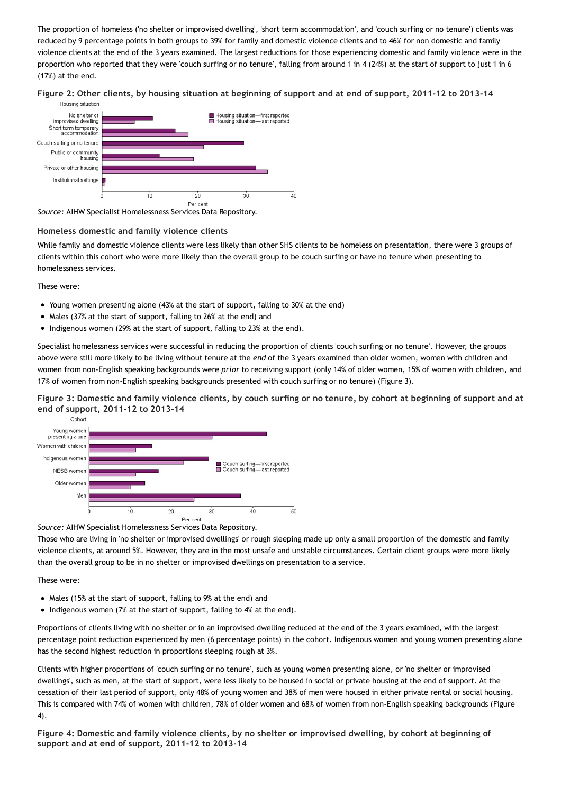The proportion of homeless ('no shelter or improvised dwelling', 'short term accommodation', and 'couch surfing or no tenure') clients was reduced by 9 percentage points in both groups to 39% for family and domestic violence clients and to 46% for non domestic and family violence clients at the end of the 3 years examined. The largest reductions for those experiencing domestic and family violence were in the proportion who reported that they were 'couch surfing or no tenure', falling from around 1 in 4 (24%) at the start of support to just 1 in 6 (17%) at the end.

### Figure 2: Other clients, by housing situation at beginning of support and at end of support, 2011-12 to 2013-14



*Source:* AIHW Specialist Homelessness Services Data Repository.

## **Homeless domestic and family violence clients**

While family and domestic violence clients were less likely than other SHS clients to be homeless on presentation, there were 3 groups of clients within this cohort who were more likely than the overall group to be couch surfing or have no tenure when presenting to homelessness services.

These were:

- Young women presenting alone (43% at the start of support, falling to 30% at the end)
- Males (37% at the start of support, falling to 26% at the end) and
- Indigenous women (29% at the start of support, falling to 23% at the end).

Specialist homelessness services were successful in reducing the proportion of clients 'couch surfing or no tenure'. However, the groups above were still more likely to be living without tenure at the *end* of the 3 years examined than older women, women with children and women from non-English speaking backgrounds were *prior* to receiving support (only 14% of older women, 15% of women with children, and 17% of women from non-English speaking backgrounds presented with couch surfing or no tenure) (Figure 3).

Figure 3: Domestic and family violence clients, by couch surfing or no tenure, by cohort at beginning of support and at **end of support, 2011-12 to 2013-14**



#### *Source:* AIHW Specialist Homelessness Services Data Repository.

Those who are living in 'no shelter or improvised dwellings' or rough sleeping made up only a small proportion of the domestic and family violence clients, at around 5%. However, they are in the most unsafe and unstable circumstances. Certain client groups were more likely than the overall group to be in no shelter or improvised dwellings on presentation to a service.

These were:

- Males (15% at the start of support, falling to 9% at the end) and
- Indigenous women (7% at the start of support, falling to 4% at the end).

Proportions of clients living with no shelter or in an improvised dwelling reduced at the end of the 3 years examined, with the largest percentage point reduction experienced by men (6 percentage points) in the cohort. Indigenous women and young women presenting alone has the second highest reduction in proportions sleeping rough at 3%.

Clients with higher proportions of 'couch surfing or no tenure', such as young women presenting alone, or 'no shelter or improvised dwellings', such as men, at the start of support, were less likely to be housed in social or private housing at the end of support. At the cessation of their last period of support, only 48% of young women and 38% of men were housed in either private rental or social housing. This is compared with 74% of women with children, 78% of older women and 68% of women from non-English speaking backgrounds (Figure 4).

Figure 4: Domestic and family violence clients, by no shelter or improvised dwelling, by cohort at beginning of **support and at end of support, 2011-12 to 2013-14**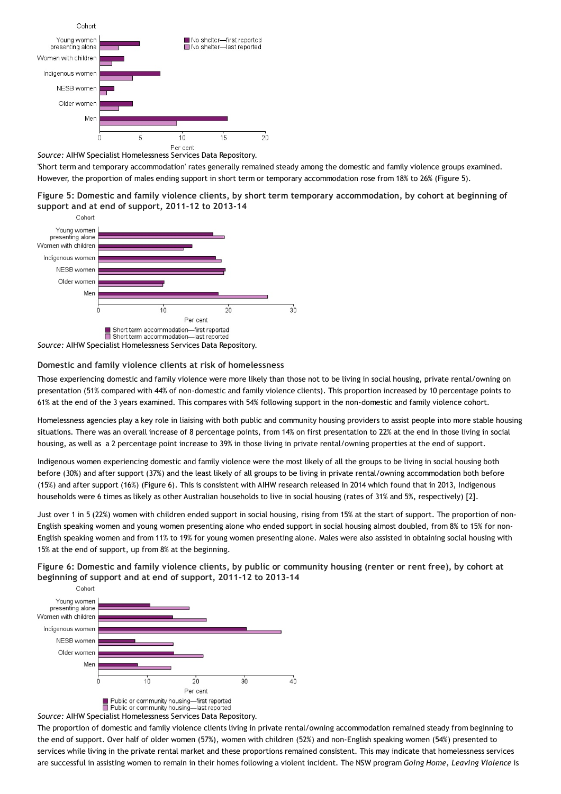

*Source:* AIHW Specialist Homelessness Services Data Repository.

'Short term and temporary accommodation' rates generally remained steady among the domestic and family violence groups examined. However, the proportion of males ending support in short term or temporary accommodation rose from 18% to 26% (Figure 5).

Figure 5: Domestic and family violence clients, by short term temporary accommodation, by cohort at beginning of **support and at end of support, 2011-12 to 2013-14**



#### **Domestic and family violence clients at risk of homelessness**

Those experiencing domestic and family violence were more likely than those not to be living in social housing, private rental/owning on presentation (51% compared with 44% of non-domestic and family violence clients). This proportion increased by 10 percentage points to 61% at the end of the 3 years examined. This compares with 54% following support in the non-domestic and family violence cohort.

Homelessness agencies play a key role in liaising with both public and community housing providers to assist people into more stable housing situations. There was an overall increase of 8 percentage points, from 14% on first presentation to 22% at the end in those living in social housing, as well as a 2 percentage point increase to 39% in those living in private rental/owning properties at the end of support.

Indigenous women experiencing domestic and family violence were the most likely of all the groups to be living in social housing both before (30%) and after support (37%) and the least likely of all groups to be living in private rental/owning accommodation both before (15%) and after support (16%) (Figure 6). This is consistent with AIHW research released in 2014 which found that in 2013, Indigenous households were 6 times as likely as other Australian households to live in social housing (rates of 31% and 5%, respectively) [2].

Just over 1 in 5 (22%) women with children ended support in social housing, rising from 15% at the start of support. The proportion of non-English speaking women and young women presenting alone who ended support in social housing almost doubled, from 8% to 15% for non-English speaking women and from 11% to 19% for young women presenting alone. Males were also assisted in obtaining social housing with 15% at the end of support, up from 8% at the beginning.

Figure 6: Domestic and family violence clients, by public or community housing (renter or rent free), by cohort at **beginning of support and at end of support, 2011-12 to 2013-14**



*Source:* AIHW Specialist Homelessness Services Data Repository.

The proportion of domestic and family violence clients living in private rental/owning accommodation remained steady from beginning to the end of support. Over half of older women (57%), women with children (52%) and non-English speaking women (54%) presented to services while living in the private rental market and these proportions remained consistent. This may indicate that homelessness services are successful in assisting women to remain in their homes following a violent incident. The NSW program *Going Home, Leaving Violence* is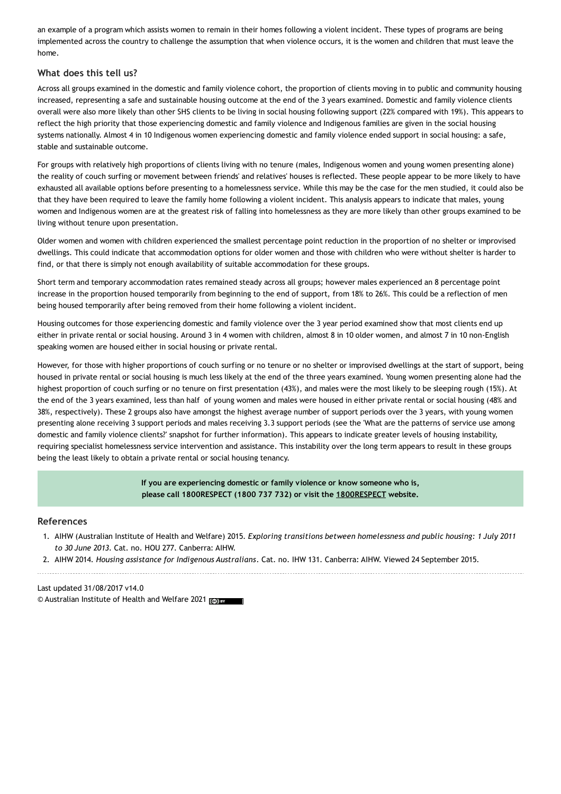an example of a program which assists women to remain in their homes following a violent incident. These types of programs are being implemented across the country to challenge the assumption that when violence occurs, it is the women and children that must leave the home.

## **What does this tell us?**

Across all groups examined in the domestic and family violence cohort, the proportion of clients moving in to public and community housing increased, representing a safe and sustainable housing outcome at the end of the 3 years examined. Domestic and family violence clients overall were also more likely than other SHS clients to be living in social housing following support (22% compared with 19%). This appears to reflect the high priority that those experiencing domestic and family violence and Indigenous families are given in the social housing systems nationally. Almost 4 in 10 Indigenous women experiencing domestic and family violence ended support in social housing: a safe, stable and sustainable outcome.

For groups with relatively high proportions of clients living with no tenure (males, Indigenous women and young women presenting alone) the reality of couch surfing or movement between friends' and relatives' houses is reflected. These people appear to be more likely to have exhausted all available options before presenting to a homelessness service. While this may be the case for the men studied, it could also be that they have been required to leave the family home following a violent incident. This analysis appears to indicate that males, young women and Indigenous women are at the greatest risk of falling into homelessness as they are more likely than other groups examined to be living without tenure upon presentation.

Older women and women with children experienced the smallest percentage point reduction in the proportion of no shelter or improvised dwellings. This could indicate that accommodation options for older women and those with children who were without shelter is harder to find, or that there is simply not enough availability of suitable accommodation for these groups.

Short term and temporary accommodation rates remained steady across all groups; however males experienced an 8 percentage point increase in the proportion housed temporarily from beginning to the end of support, from 18% to 26%. This could be a reflection of men being housed temporarily after being removed from their home following a violent incident.

Housing outcomes for those experiencing domestic and family violence over the 3 year period examined show that most clients end up either in private rental or social housing. Around 3 in 4 women with children, almost 8 in 10 older women, and almost 7 in 10 non-English speaking women are housed either in social housing or private rental.

However, for those with higher proportions of couch surfing or no tenure or no shelter or improvised dwellings at the start of support, being housed in private rental or social housing is much less likely at the end of the three years examined. Young women presenting alone had the highest proportion of couch surfing or no tenure on first presentation (43%), and males were the most likely to be sleeping rough (15%). At the end of the 3 years examined, less than half of young women and males were housed in either private rental or social housing (48% and 38%, respectively). These 2 groups also have amongst the highest average number of support periods over the 3 years, with young women presenting alone receiving 3 support periods and males receiving 3.3 support periods (see the 'What are the patterns of service use among domestic and family violence clients?' snapshot for further information). This appears to indicate greater levels of housing instability, requiring specialist homelessness service intervention and assistance. This instability over the long term appears to result in these groups being the least likely to obtain a private rental or social housing tenancy.

> **If you are experiencing domestic or family violence or know someone who is, please call 1800RESPECT (1800 737 732) or visit the [1800RESPECT](https://www.1800respect.org.au/) website.**

#### **References**

1. AIHW (Australian Institute of Health and Welfare) 2015. *Exploring transitions between homelessness and public housing: 1 July 2011 to 30 June 2013*. Cat. no. HOU 277. Canberra: AIHW.

2. AIHW 2014. *Housing assistance for Indigenous Australians*. Cat. no. IHW 131. Canberra: AIHW. Viewed 24 September 2015.

#### Last updated 31/08/2017 v14.0

© Australian Institute of Health and Welfare 2021